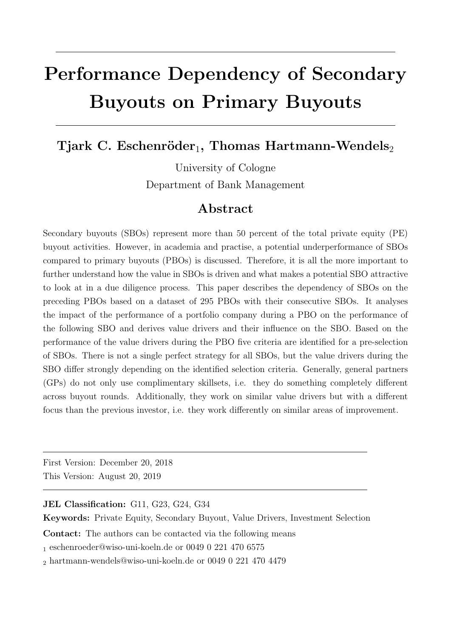# Performance Dependency of Secondary Buyouts on Primary Buyouts

Tjark C. Eschenröder<sub>1</sub>, Thomas Hartmann-Wendels<sub>2</sub>

University of Cologne Department of Bank Management

## Abstract

Secondary buyouts (SBOs) represent more than 50 percent of the total private equity (PE) buyout activities. However, in academia and practise, a potential underperformance of SBOs compared to primary buyouts (PBOs) is discussed. Therefore, it is all the more important to further understand how the value in SBOs is driven and what makes a potential SBO attractive to look at in a due diligence process. This paper describes the dependency of SBOs on the preceding PBOs based on a dataset of 295 PBOs with their consecutive SBOs. It analyses the impact of the performance of a portfolio company during a PBO on the performance of the following SBO and derives value drivers and their influence on the SBO. Based on the performance of the value drivers during the PBO five criteria are identified for a pre-selection of SBOs. There is not a single perfect strategy for all SBOs, but the value drivers during the SBO differ strongly depending on the identified selection criteria. Generally, general partners (GPs) do not only use complimentary skillsets, i.e. they do something completely different across buyout rounds. Additionally, they work on similar value drivers but with a different focus than the previous investor, i.e. they work differently on similar areas of improvement.

First Version: December 20, 2018 This Version: August 20, 2019

JEL Classification: G11, G23, G24, G34

Keywords: Private Equity, Secondary Buyout, Value Drivers, Investment Selection

Contact: The authors can be contacted via the following means

<sup>1</sup> eschenroeder@wiso-uni-koeln.de or 0049 0 221 470 6575

<sup>2</sup> hartmann-wendels@wiso-uni-koeln.de or 0049 0 221 470 4479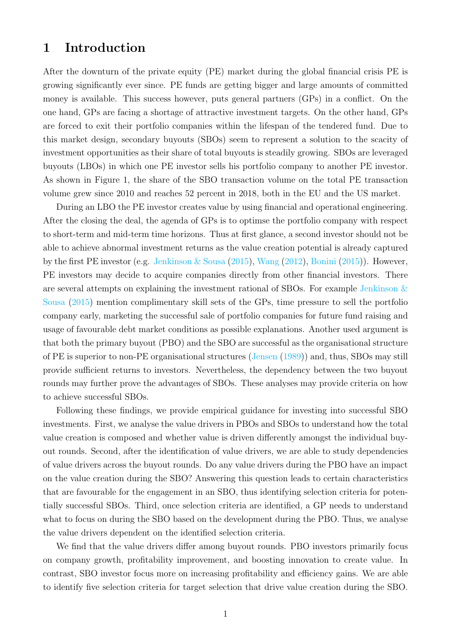## 1 Introduction

After the downturn of the private equity (PE) market during the global financial crisis PE is growing significantly ever since. PE funds are getting bigger and large amounts of committed money is available. This success however, puts general partners (GPs) in a conflict. On the one hand, GPs are facing a shortage of attractive investment targets. On the other hand, GPs are forced to exit their portfolio companies within the lifespan of the tendered fund. Due to this market design, secondary buyouts (SBOs) seem to represent a solution to the scacity of investment opportunities as their share of total buyouts is steadily growing. SBOs are leveraged buyouts (LBOs) in which one PE investor sells his portfolio company to another PE investor. As shown in Figure 1, the share of the SBO transaction volume on the total PE transaction volume grew since 2010 and reaches 52 percent in 2018, both in the EU and the US market.

During an LBO the PE investor creates value by using financial and operational engineering. After the closing the deal, the agenda of GPs is to optimse the portfolio company with respect to short-term and mid-term time horizons. Thus at first glance, a second investor should not be able to achieve abnormal investment returns as the value creation potential is already captured by the first PE investor (e.g. [Jenkinson & Sousa](#page-37-0) [\(2015\)](#page-37-0), [Wang](#page-38-0) [\(2012\)](#page-38-0), [Bonini](#page-36-0) [\(2015\)](#page-36-0)). However, PE investors may decide to acquire companies directly from other financial investors. There are several attempts on explaining the investment rational of SBOs. For example [Jenkinson &](#page-37-0) [Sousa](#page-37-0) [\(2015\)](#page-37-0) mention complimentary skill sets of the GPs, time pressure to sell the portfolio company early, marketing the successful sale of portfolio companies for future fund raising and usage of favourable debt market conditions as possible explanations. Another used argument is that both the primary buyout (PBO) and the SBO are successful as the organisational structure of PE is superior to non-PE organisational structures [\(Jensen](#page-37-1) [\(1989\)](#page-37-1)) and, thus, SBOs may still provide sufficient returns to investors. Nevertheless, the dependency between the two buyout rounds may further prove the advantages of SBOs. These analyses may provide criteria on how to achieve successful SBOs.

Following these findings, we provide empirical guidance for investing into successful SBO investments. First, we analyse the value drivers in PBOs and SBOs to understand how the total value creation is composed and whether value is driven differently amongst the individual buyout rounds. Second, after the identification of value drivers, we are able to study dependencies of value drivers across the buyout rounds. Do any value drivers during the PBO have an impact on the value creation during the SBO? Answering this question leads to certain characteristics that are favourable for the engagement in an SBO, thus identifying selection criteria for potentially successful SBOs. Third, once selection criteria are identified, a GP needs to understand what to focus on during the SBO based on the development during the PBO. Thus, we analyse the value drivers dependent on the identified selection criteria.

We find that the value drivers differ among buyout rounds. PBO investors primarily focus on company growth, profitability improvement, and boosting innovation to create value. In contrast, SBO investor focus more on increasing profitability and efficiency gains. We are able to identify five selection criteria for target selection that drive value creation during the SBO.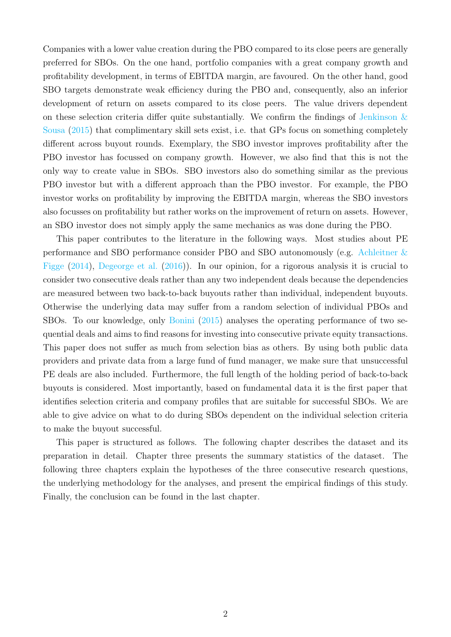Companies with a lower value creation during the PBO compared to its close peers are generally preferred for SBOs. On the one hand, portfolio companies with a great company growth and profitability development, in terms of EBITDA margin, are favoured. On the other hand, good SBO targets demonstrate weak efficiency during the PBO and, consequently, also an inferior development of return on assets compared to its close peers. The value drivers dependent on these selection criteria differ quite substantially. We confirm the findings of Jenkinson  $\&$ [Sousa](#page-37-0) [\(2015\)](#page-37-0) that complimentary skill sets exist, i.e. that GPs focus on something completely different across buyout rounds. Exemplary, the SBO investor improves profitability after the PBO investor has focussed on company growth. However, we also find that this is not the only way to create value in SBOs. SBO investors also do something similar as the previous PBO investor but with a different approach than the PBO investor. For example, the PBO investor works on profitability by improving the EBITDA margin, whereas the SBO investors also focusses on profitability but rather works on the improvement of return on assets. However, an SBO investor does not simply apply the same mechanics as was done during the PBO.

This paper contributes to the literature in the following ways. Most studies about PE performance and SBO performance consider PBO and SBO autonomously (e.g. [Achleitner &](#page-36-1) [Figge](#page-36-1) [\(2014\)](#page-36-1), [Degeorge et al.](#page-37-2) [\(2016\)](#page-37-2)). In our opinion, for a rigorous analysis it is crucial to consider two consecutive deals rather than any two independent deals because the dependencies are measured between two back-to-back buyouts rather than individual, independent buyouts. Otherwise the underlying data may suffer from a random selection of individual PBOs and SBOs. To our knowledge, only [Bonini](#page-36-0) [\(2015\)](#page-36-0) analyses the operating performance of two sequential deals and aims to find reasons for investing into consecutive private equity transactions. This paper does not suffer as much from selection bias as others. By using both public data providers and private data from a large fund of fund manager, we make sure that unsuccessful PE deals are also included. Furthermore, the full length of the holding period of back-to-back buyouts is considered. Most importantly, based on fundamental data it is the first paper that identifies selection criteria and company profiles that are suitable for successful SBOs. We are able to give advice on what to do during SBOs dependent on the individual selection criteria to make the buyout successful.

This paper is structured as follows. The following chapter describes the dataset and its preparation in detail. Chapter three presents the summary statistics of the dataset. The following three chapters explain the hypotheses of the three consecutive research questions, the underlying methodology for the analyses, and present the empirical findings of this study. Finally, the conclusion can be found in the last chapter.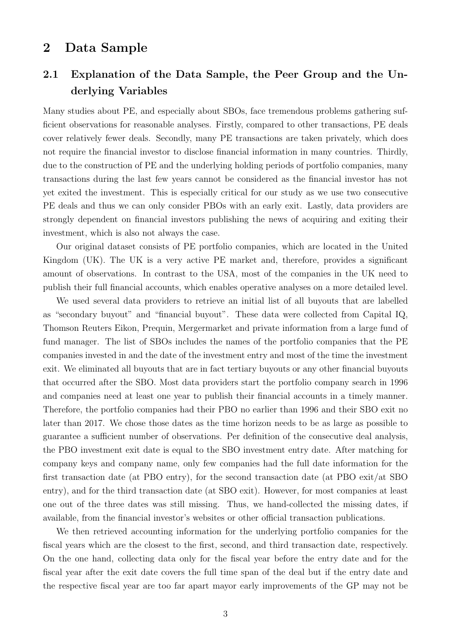### 2 Data Sample

## 2.1 Explanation of the Data Sample, the Peer Group and the Underlying Variables

Many studies about PE, and especially about SBOs, face tremendous problems gathering sufficient observations for reasonable analyses. Firstly, compared to other transactions, PE deals cover relatively fewer deals. Secondly, many PE transactions are taken privately, which does not require the financial investor to disclose financial information in many countries. Thirdly, due to the construction of PE and the underlying holding periods of portfolio companies, many transactions during the last few years cannot be considered as the financial investor has not yet exited the investment. This is especially critical for our study as we use two consecutive PE deals and thus we can only consider PBOs with an early exit. Lastly, data providers are strongly dependent on financial investors publishing the news of acquiring and exiting their investment, which is also not always the case.

Our original dataset consists of PE portfolio companies, which are located in the United Kingdom (UK). The UK is a very active PE market and, therefore, provides a significant amount of observations. In contrast to the USA, most of the companies in the UK need to publish their full financial accounts, which enables operative analyses on a more detailed level.

We used several data providers to retrieve an initial list of all buyouts that are labelled as "secondary buyout" and "financial buyout". These data were collected from Capital IQ, Thomson Reuters Eikon, Prequin, Mergermarket and private information from a large fund of fund manager. The list of SBOs includes the names of the portfolio companies that the PE companies invested in and the date of the investment entry and most of the time the investment exit. We eliminated all buyouts that are in fact tertiary buyouts or any other financial buyouts that occurred after the SBO. Most data providers start the portfolio company search in 1996 and companies need at least one year to publish their financial accounts in a timely manner. Therefore, the portfolio companies had their PBO no earlier than 1996 and their SBO exit no later than 2017. We chose those dates as the time horizon needs to be as large as possible to guarantee a sufficient number of observations. Per definition of the consecutive deal analysis, the PBO investment exit date is equal to the SBO investment entry date. After matching for company keys and company name, only few companies had the full date information for the first transaction date (at PBO entry), for the second transaction date (at PBO exit/at SBO entry), and for the third transaction date (at SBO exit). However, for most companies at least one out of the three dates was still missing. Thus, we hand-collected the missing dates, if available, from the financial investor's websites or other official transaction publications.

We then retrieved accounting information for the underlying portfolio companies for the fiscal years which are the closest to the first, second, and third transaction date, respectively. On the one hand, collecting data only for the fiscal year before the entry date and for the fiscal year after the exit date covers the full time span of the deal but if the entry date and the respective fiscal year are too far apart mayor early improvements of the GP may not be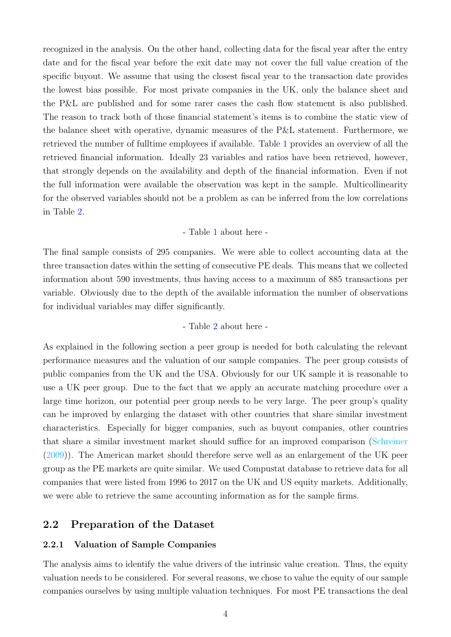recognized in the analysis. On the other hand, collecting data for the fiscal year after the entry date and for the fiscal year before the exit date may not cover the full value creation of the specific buyout. We assume that using the closest fiscal year to the transaction date provides the lowest bias possible. For most private companies in the UK, only the balance sheet and the P&L are published and for some rarer cases the cash flow statement is also published. The reason to track both of those financial statement's items is to combine the static view of the balance sheet with operative, dynamic measures of the P&L statement. Furthermore, we retrieved the number of fulltime employees if available. Table [1](#page-27-0) provides an overview of all the retrieved financial information. Ideally 23 variables and ratios have been retrieved, however, that strongly depends on the availability and depth of the financial information. Even if not the full information were available the observation was kept in the sample. Multicollinearity for the observed variables should not be a problem as can be inferred from the low correlations in Table [2.](#page-29-0)

#### - Table [1](#page-27-0) about here -

The final sample consists of 295 companies. We were able to collect accounting data at the three transaction dates within the setting of consecutive PE deals. This means that we collected information about 590 investments, thus having access to a maximum of 885 transactions per variable. Obviously due to the depth of the available information the number of observations for individual variables may differ significantly.

#### - Table [2](#page-29-0) about here -

As explained in the following section a peer group is needed for both calculating the relevant performance measures and the valuation of our sample companies. The peer group consists of public companies from the UK and the USA. Obviously for our UK sample it is reasonable to use a UK peer group. Due to the fact that we apply an accurate matching procedure over a large time horizon, our potential peer group needs to be very large. The peer group's quality can be improved by enlarging the dataset with other countries that share similar investment characteristics. Especially for bigger companies, such as buyout companies, other countries that share a similar investment market should suffice for an improved comparison [\(Schreiner](#page-38-1) [\(2009\)](#page-38-1)). The American market should therefore serve well as an enlargement of the UK peer group as the PE markets are quite similar. We used Compustat database to retrieve data for all companies that were listed from 1996 to 2017 on the UK and US equity markets. Additionally, we were able to retrieve the same accounting information as for the sample firms.

#### 2.2 Preparation of the Dataset

#### 2.2.1 Valuation of Sample Companies

The analysis aims to identify the value drivers of the intrinsic value creation. Thus, the equity valuation needs to be considered. For several reasons, we chose to value the equity of our sample companies ourselves by using multiple valuation techniques. For most PE transactions the deal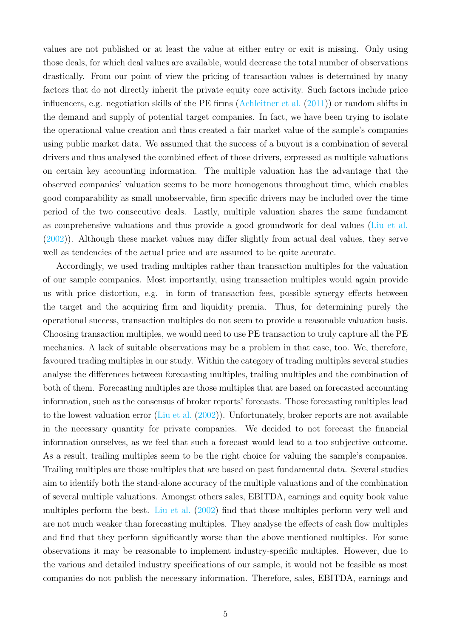values are not published or at least the value at either entry or exit is missing. Only using those deals, for which deal values are available, would decrease the total number of observations drastically. From our point of view the pricing of transaction values is determined by many factors that do not directly inherit the private equity core activity. Such factors include price influencers, e.g. negotiation skills of the PE firms [\(Achleitner et al.](#page-36-2) [\(2011\)](#page-36-2)) or random shifts in the demand and supply of potential target companies. In fact, we have been trying to isolate the operational value creation and thus created a fair market value of the sample's companies using public market data. We assumed that the success of a buyout is a combination of several drivers and thus analysed the combined effect of those drivers, expressed as multiple valuations on certain key accounting information. The multiple valuation has the advantage that the observed companies' valuation seems to be more homogenous throughout time, which enables good comparability as small unobservable, firm specific drivers may be included over the time period of the two consecutive deals. Lastly, multiple valuation shares the same fundament as comprehensive valuations and thus provide a good groundwork for deal values [\(Liu et al.](#page-37-3) [\(2002\)](#page-37-3)). Although these market values may differ slightly from actual deal values, they serve well as tendencies of the actual price and are assumed to be quite accurate.

Accordingly, we used trading multiples rather than transaction multiples for the valuation of our sample companies. Most importantly, using transaction multiples would again provide us with price distortion, e.g. in form of transaction fees, possible synergy effects between the target and the acquiring firm and liquidity premia. Thus, for determining purely the operational success, transaction multiples do not seem to provide a reasonable valuation basis. Choosing transaction multiples, we would need to use PE transaction to truly capture all the PE mechanics. A lack of suitable observations may be a problem in that case, too. We, therefore, favoured trading multiples in our study. Within the category of trading multiples several studies analyse the differences between forecasting multiples, trailing multiples and the combination of both of them. Forecasting multiples are those multiples that are based on forecasted accounting information, such as the consensus of broker reports' forecasts. Those forecasting multiples lead to the lowest valuation error [\(Liu et al.](#page-37-3) [\(2002\)](#page-37-3)). Unfortunately, broker reports are not available in the necessary quantity for private companies. We decided to not forecast the financial information ourselves, as we feel that such a forecast would lead to a too subjective outcome. As a result, trailing multiples seem to be the right choice for valuing the sample's companies. Trailing multiples are those multiples that are based on past fundamental data. Several studies aim to identify both the stand-alone accuracy of the multiple valuations and of the combination of several multiple valuations. Amongst others sales, EBITDA, earnings and equity book value multiples perform the best. [Liu et al.](#page-37-3) [\(2002\)](#page-37-3) find that those multiples perform very well and are not much weaker than forecasting multiples. They analyse the effects of cash flow multiples and find that they perform significantly worse than the above mentioned multiples. For some observations it may be reasonable to implement industry-specific multiples. However, due to the various and detailed industry specifications of our sample, it would not be feasible as most companies do not publish the necessary information. Therefore, sales, EBITDA, earnings and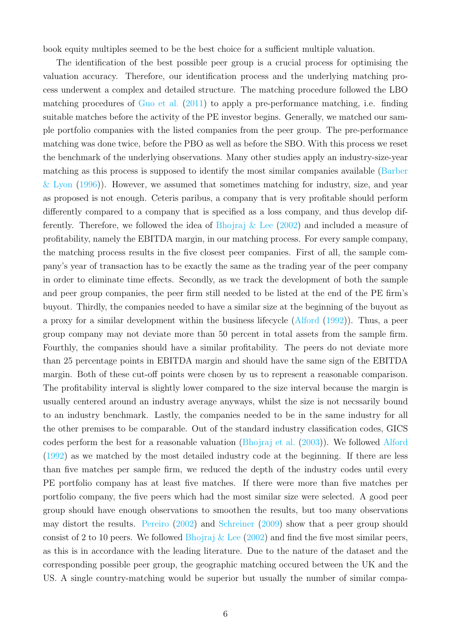book equity multiples seemed to be the best choice for a sufficient multiple valuation.

The identification of the best possible peer group is a crucial process for optimising the valuation accuracy. Therefore, our identification process and the underlying matching process underwent a complex and detailed structure. The matching procedure followed the LBO matching procedures of [Guo et al.](#page-37-4) [\(2011\)](#page-37-4) to apply a pre-performance matching, i.e. finding suitable matches before the activity of the PE investor begins. Generally, we matched our sample portfolio companies with the listed companies from the peer group. The pre-performance matching was done twice, before the PBO as well as before the SBO. With this process we reset the benchmark of the underlying observations. Many other studies apply an industry-size-year matching as this process is supposed to identify the most similar companies available [\(Barber](#page-36-3)  $\&$  Lyon [\(1996\)](#page-36-3)). However, we assumed that sometimes matching for industry, size, and year as proposed is not enough. Ceteris paribus, a company that is very profitable should perform differently compared to a company that is specified as a loss company, and thus develop differently. Therefore, we followed the idea of Bhojraj  $\&$  Lee [\(2002\)](#page-36-4) and included a measure of profitability, namely the EBITDA margin, in our matching process. For every sample company, the matching process results in the five closest peer companies. First of all, the sample company's year of transaction has to be exactly the same as the trading year of the peer company in order to eliminate time effects. Secondly, as we track the development of both the sample and peer group companies, the peer firm still needed to be listed at the end of the PE firm's buyout. Thirdly, the companies needed to have a similar size at the beginning of the buyout as a proxy for a similar development within the business lifecycle [\(Alford](#page-36-5) [\(1992\)](#page-36-5)). Thus, a peer group company may not deviate more than 50 percent in total assets from the sample firm. Fourthly, the companies should have a similar profitability. The peers do not deviate more than 25 percentage points in EBITDA margin and should have the same sign of the EBITDA margin. Both of these cut-off points were chosen by us to represent a reasonable comparison. The profitability interval is slightly lower compared to the size interval because the margin is usually centered around an industry average anyways, whilst the size is not necssarily bound to an industry benchmark. Lastly, the companies needed to be in the same industry for all the other premises to be comparable. Out of the standard industry classification codes, GICS codes perform the best for a reasonable valuation [\(Bhojraj et al.](#page-36-6) [\(2003\)](#page-36-6)). We followed [Alford](#page-36-5) [\(1992\)](#page-36-5) as we matched by the most detailed industry code at the beginning. If there are less than five matches per sample firm, we reduced the depth of the industry codes until every PE portfolio company has at least five matches. If there were more than five matches per portfolio company, the five peers which had the most similar size were selected. A good peer group should have enough observations to smoothen the results, but too many observations may distort the results. [Pereiro](#page-37-5) [\(2002\)](#page-37-5) and [Schreiner](#page-38-1) [\(2009\)](#page-38-1) show that a peer group should consist of 2 to 10 peers. We followed Bhojraj  $\&$  Lee [\(2002\)](#page-36-4) and find the five most similar peers, as this is in accordance with the leading literature. Due to the nature of the dataset and the corresponding possible peer group, the geographic matching occured between the UK and the US. A single country-matching would be superior but usually the number of similar compa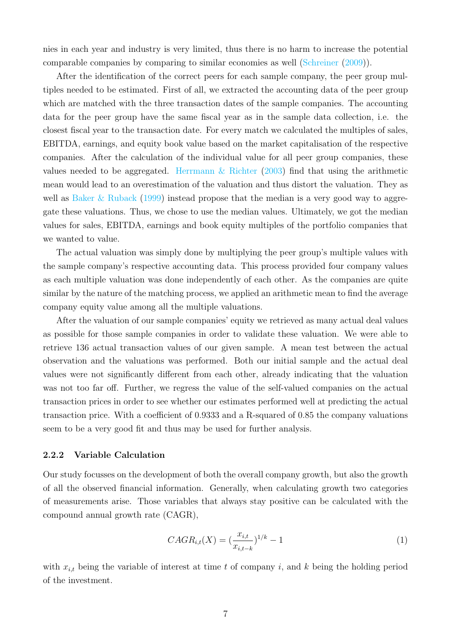nies in each year and industry is very limited, thus there is no harm to increase the potential comparable companies by comparing to similar economies as well [\(Schreiner](#page-38-1) [\(2009\)](#page-38-1)).

After the identification of the correct peers for each sample company, the peer group multiples needed to be estimated. First of all, we extracted the accounting data of the peer group which are matched with the three transaction dates of the sample companies. The accounting data for the peer group have the same fiscal year as in the sample data collection, i.e. the closest fiscal year to the transaction date. For every match we calculated the multiples of sales, EBITDA, earnings, and equity book value based on the market capitalisation of the respective companies. After the calculation of the individual value for all peer group companies, these values needed to be aggregated. Herrmann  $\&$  Richter [\(2003\)](#page-37-6) find that using the arithmetic mean would lead to an overestimation of the valuation and thus distort the valuation. They as well as [Baker & Ruback](#page-36-7) [\(1999\)](#page-36-7) instead propose that the median is a very good way to aggregate these valuations. Thus, we chose to use the median values. Ultimately, we got the median values for sales, EBITDA, earnings and book equity multiples of the portfolio companies that we wanted to value.

The actual valuation was simply done by multiplying the peer group's multiple values with the sample company's respective accounting data. This process provided four company values as each multiple valuation was done independently of each other. As the companies are quite similar by the nature of the matching process, we applied an arithmetic mean to find the average company equity value among all the multiple valuations.

After the valuation of our sample companies' equity we retrieved as many actual deal values as possible for those sample companies in order to validate these valuation. We were able to retrieve 136 actual transaction values of our given sample. A mean test between the actual observation and the valuations was performed. Both our initial sample and the actual deal values were not significantly different from each other, already indicating that the valuation was not too far off. Further, we regress the value of the self-valued companies on the actual transaction prices in order to see whether our estimates performed well at predicting the actual transaction price. With a coefficient of 0.9333 and a R-squared of 0.85 the company valuations seem to be a very good fit and thus may be used for further analysis.

#### 2.2.2 Variable Calculation

Our study focusses on the development of both the overall company growth, but also the growth of all the observed financial information. Generally, when calculating growth two categories of measurements arise. Those variables that always stay positive can be calculated with the compound annual growth rate (CAGR),

$$
CAGR_{i,t}(X) = \left(\frac{x_{i,t}}{x_{i,t-k}}\right)^{1/k} - 1\tag{1}
$$

with  $x_{i,t}$  being the variable of interest at time t of company i, and k being the holding period of the investment.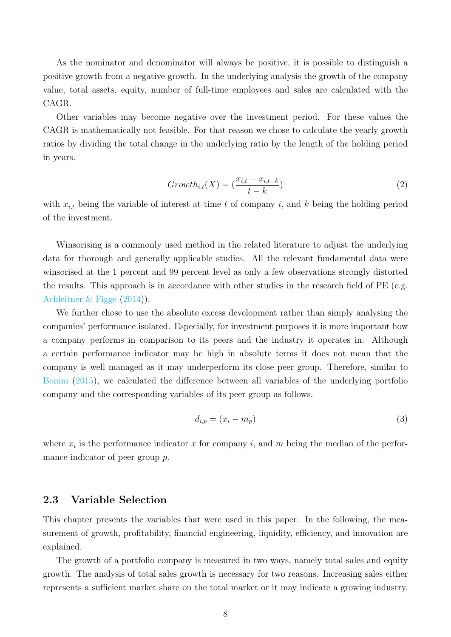As the nominator and denominator will always be positive, it is possible to distinguish a positive growth from a negative growth. In the underlying analysis the growth of the company value, total assets, equity, number of full-time employees and sales are calculated with the CAGR.

Other variables may become negative over the investment period. For these values the CAGR is mathematically not feasible. For that reason we chose to calculate the yearly growth ratios by dividing the total change in the underlying ratio by the length of the holding period in years.

$$
Growth_{i,t}(X) = \left(\frac{x_{i,t} - x_{i,t-k}}{t-k}\right)
$$
\n
$$
(2)
$$

with  $x_{i,t}$  being the variable of interest at time t of company i, and k being the holding period of the investment.

Winsorising is a commonly used method in the related literature to adjust the underlying data for thorough and generally applicable studies. All the relevant fundamental data were winsorised at the 1 percent and 99 percent level as only a few observations strongly distorted the results. This approach is in accordance with other studies in the research field of PE (e.g. [Achleitner & Figge](#page-36-1) [\(2014\)](#page-36-1)).

We further chose to use the absolute excess development rather than simply analysing the companies' performance isolated. Especially, for investment purposes it is more important how a company performs in comparison to its peers and the industry it operates in. Although a certain performance indicator may be high in absolute terms it does not mean that the company is well managed as it may underperform its close peer group. Therefore, similar to [Bonini](#page-36-0) [\(2015\)](#page-36-0), we calculated the difference between all variables of the underlying portfolio company and the corresponding variables of its peer group as follows.

$$
d_{i,p} = (x_i - m_p) \tag{3}
$$

where  $x_i$  is the performance indicator x for company i, and m being the median of the performance indicator of peer group p.

#### 2.3 Variable Selection

This chapter presents the variables that were used in this paper. In the following, the measurement of growth, profitability, financial engineering, liquidity, efficiency, and innovation are explained.

The growth of a portfolio company is measured in two ways, namely total sales and equity growth. The analysis of total sales growth is necessary for two reasons. Increasing sales either represents a sufficient market share on the total market or it may indicate a growing industry.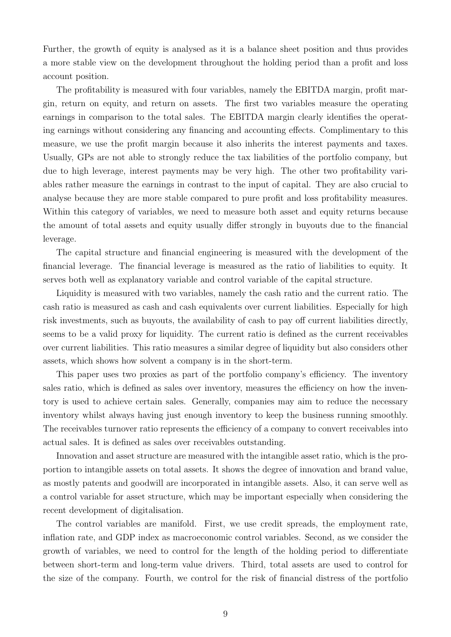Further, the growth of equity is analysed as it is a balance sheet position and thus provides a more stable view on the development throughout the holding period than a profit and loss account position.

The profitability is measured with four variables, namely the EBITDA margin, profit margin, return on equity, and return on assets. The first two variables measure the operating earnings in comparison to the total sales. The EBITDA margin clearly identifies the operating earnings without considering any financing and accounting effects. Complimentary to this measure, we use the profit margin because it also inherits the interest payments and taxes. Usually, GPs are not able to strongly reduce the tax liabilities of the portfolio company, but due to high leverage, interest payments may be very high. The other two profitability variables rather measure the earnings in contrast to the input of capital. They are also crucial to analyse because they are more stable compared to pure profit and loss profitability measures. Within this category of variables, we need to measure both asset and equity returns because the amount of total assets and equity usually differ strongly in buyouts due to the financial leverage.

The capital structure and financial engineering is measured with the development of the financial leverage. The financial leverage is measured as the ratio of liabilities to equity. It serves both well as explanatory variable and control variable of the capital structure.

Liquidity is measured with two variables, namely the cash ratio and the current ratio. The cash ratio is measured as cash and cash equivalents over current liabilities. Especially for high risk investments, such as buyouts, the availability of cash to pay off current liabilities directly, seems to be a valid proxy for liquidity. The current ratio is defined as the current receivables over current liabilities. This ratio measures a similar degree of liquidity but also considers other assets, which shows how solvent a company is in the short-term.

This paper uses two proxies as part of the portfolio company's efficiency. The inventory sales ratio, which is defined as sales over inventory, measures the efficiency on how the inventory is used to achieve certain sales. Generally, companies may aim to reduce the necessary inventory whilst always having just enough inventory to keep the business running smoothly. The receivables turnover ratio represents the efficiency of a company to convert receivables into actual sales. It is defined as sales over receivables outstanding.

Innovation and asset structure are measured with the intangible asset ratio, which is the proportion to intangible assets on total assets. It shows the degree of innovation and brand value, as mostly patents and goodwill are incorporated in intangible assets. Also, it can serve well as a control variable for asset structure, which may be important especially when considering the recent development of digitalisation.

The control variables are manifold. First, we use credit spreads, the employment rate, inflation rate, and GDP index as macroeconomic control variables. Second, as we consider the growth of variables, we need to control for the length of the holding period to differentiate between short-term and long-term value drivers. Third, total assets are used to control for the size of the company. Fourth, we control for the risk of financial distress of the portfolio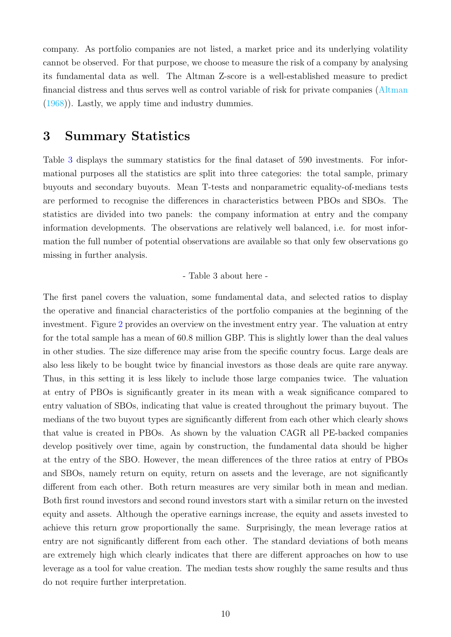company. As portfolio companies are not listed, a market price and its underlying volatility cannot be observed. For that purpose, we choose to measure the risk of a company by analysing its fundamental data as well. The Altman Z-score is a well-established measure to predict financial distress and thus serves well as control variable of risk for private companies [\(Altman](#page-36-8) [\(1968\)](#page-36-8)). Lastly, we apply time and industry dummies.

### 3 Summary Statistics

Table [3](#page-30-0) displays the summary statistics for the final dataset of 590 investments. For informational purposes all the statistics are split into three categories: the total sample, primary buyouts and secondary buyouts. Mean T-tests and nonparametric equality-of-medians tests are performed to recognise the differences in characteristics between PBOs and SBOs. The statistics are divided into two panels: the company information at entry and the company information developments. The observations are relatively well balanced, i.e. for most information the full number of potential observations are available so that only few observations go missing in further analysis.

#### - Table 3 about here -

The first panel covers the valuation, some fundamental data, and selected ratios to display the operative and financial characteristics of the portfolio companies at the beginning of the investment. Figure [2](#page-25-0) provides an overview on the investment entry year. The valuation at entry for the total sample has a mean of 60.8 million GBP. This is slightly lower than the deal values in other studies. The size difference may arise from the specific country focus. Large deals are also less likely to be bought twice by financial investors as those deals are quite rare anyway. Thus, in this setting it is less likely to include those large companies twice. The valuation at entry of PBOs is significantly greater in its mean with a weak significance compared to entry valuation of SBOs, indicating that value is created throughout the primary buyout. The medians of the two buyout types are significantly different from each other which clearly shows that value is created in PBOs. As shown by the valuation CAGR all PE-backed companies develop positively over time, again by construction, the fundamental data should be higher at the entry of the SBO. However, the mean differences of the three ratios at entry of PBOs and SBOs, namely return on equity, return on assets and the leverage, are not significantly different from each other. Both return measures are very similar both in mean and median. Both first round investors and second round investors start with a similar return on the invested equity and assets. Although the operative earnings increase, the equity and assets invested to achieve this return grow proportionally the same. Surprisingly, the mean leverage ratios at entry are not significantly different from each other. The standard deviations of both means are extremely high which clearly indicates that there are different approaches on how to use leverage as a tool for value creation. The median tests show roughly the same results and thus do not require further interpretation.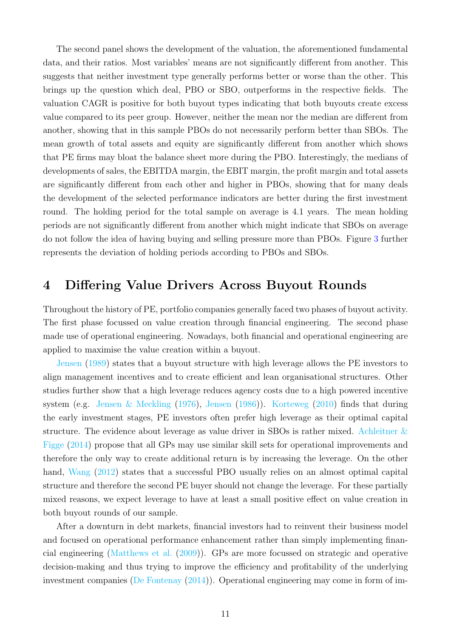The second panel shows the development of the valuation, the aforementioned fundamental data, and their ratios. Most variables' means are not significantly different from another. This suggests that neither investment type generally performs better or worse than the other. This brings up the question which deal, PBO or SBO, outperforms in the respective fields. The valuation CAGR is positive for both buyout types indicating that both buyouts create excess value compared to its peer group. However, neither the mean nor the median are different from another, showing that in this sample PBOs do not necessarily perform better than SBOs. The mean growth of total assets and equity are significantly different from another which shows that PE firms may bloat the balance sheet more during the PBO. Interestingly, the medians of developments of sales, the EBITDA margin, the EBIT margin, the profit margin and total assets are significantly different from each other and higher in PBOs, showing that for many deals the development of the selected performance indicators are better during the first investment round. The holding period for the total sample on average is 4.1 years. The mean holding periods are not significantly different from another which might indicate that SBOs on average do not follow the idea of having buying and selling pressure more than PBOs. Figure [3](#page-26-0) further represents the deviation of holding periods according to PBOs and SBOs.

## 4 Differing Value Drivers Across Buyout Rounds

Throughout the history of PE, portfolio companies generally faced two phases of buyout activity. The first phase focussed on value creation through financial engineering. The second phase made use of operational engineering. Nowadays, both financial and operational engineering are applied to maximise the value creation within a buyout.

[Jensen](#page-37-1) [\(1989\)](#page-37-1) states that a buyout structure with high leverage allows the PE investors to align management incentives and to create efficient and lean organisational structures. Other studies further show that a high leverage reduces agency costs due to a high powered incentive system (e.g. [Jensen & Meckling](#page-37-7) [\(1976\)](#page-37-7), [Jensen](#page-37-8) [\(1986\)](#page-37-8)). [Korteweg](#page-37-9) [\(2010\)](#page-37-9) finds that during the early investment stages, PE investors often prefer high leverage as their optimal capital structure. The evidence about leverage as value driver in SBOs is rather mixed. [Achleitner &](#page-36-1) [Figge](#page-36-1) [\(2014\)](#page-36-1) propose that all GPs may use similar skill sets for operational improvements and therefore the only way to create additional return is by increasing the leverage. On the other hand, [Wang](#page-38-0)  $(2012)$  states that a successful PBO usually relies on an almost optimal capital structure and therefore the second PE buyer should not change the leverage. For these partially mixed reasons, we expect leverage to have at least a small positive effect on value creation in both buyout rounds of our sample.

After a downturn in debt markets, financial investors had to reinvent their business model and focused on operational performance enhancement rather than simply implementing financial engineering [\(Matthews et al.](#page-37-10) [\(2009\)](#page-37-10)). GPs are more focussed on strategic and operative decision-making and thus trying to improve the efficiency and profitability of the underlying investment companies [\(De Fontenay](#page-36-9) [\(2014\)](#page-36-9)). Operational engineering may come in form of im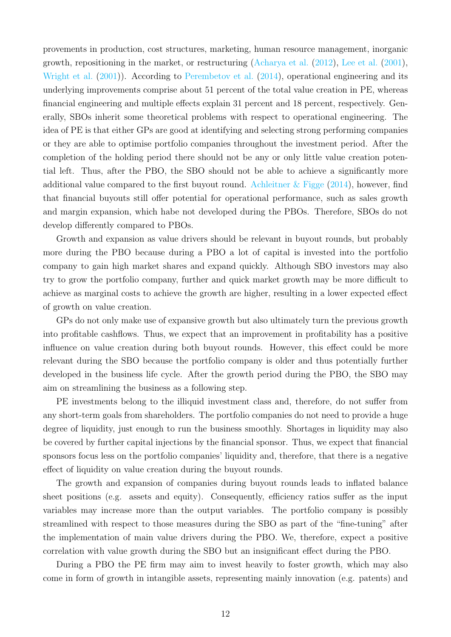provements in production, cost structures, marketing, human resource management, inorganic growth, repositioning in the market, or restructuring [\(Acharya et al.](#page-36-10) [\(2012\)](#page-36-10), [Lee et al.](#page-37-11) [\(2001\)](#page-37-11), [Wright et al.](#page-38-2)  $(2001)$ ). According to [Perembetov et al.](#page-37-12)  $(2014)$ , operational engineering and its underlying improvements comprise about 51 percent of the total value creation in PE, whereas financial engineering and multiple effects explain 31 percent and 18 percent, respectively. Generally, SBOs inherit some theoretical problems with respect to operational engineering. The idea of PE is that either GPs are good at identifying and selecting strong performing companies or they are able to optimise portfolio companies throughout the investment period. After the completion of the holding period there should not be any or only little value creation potential left. Thus, after the PBO, the SBO should not be able to achieve a significantly more additional value compared to the first buyout round. Achleitner  $\&$  Figge [\(2014\)](#page-36-1), however, find that financial buyouts still offer potential for operational performance, such as sales growth and margin expansion, which habe not developed during the PBOs. Therefore, SBOs do not develop differently compared to PBOs.

Growth and expansion as value drivers should be relevant in buyout rounds, but probably more during the PBO because during a PBO a lot of capital is invested into the portfolio company to gain high market shares and expand quickly. Although SBO investors may also try to grow the portfolio company, further and quick market growth may be more difficult to achieve as marginal costs to achieve the growth are higher, resulting in a lower expected effect of growth on value creation.

GPs do not only make use of expansive growth but also ultimately turn the previous growth into profitable cashflows. Thus, we expect that an improvement in profitability has a positive influence on value creation during both buyout rounds. However, this effect could be more relevant during the SBO because the portfolio company is older and thus potentially further developed in the business life cycle. After the growth period during the PBO, the SBO may aim on streamlining the business as a following step.

PE investments belong to the illiquid investment class and, therefore, do not suffer from any short-term goals from shareholders. The portfolio companies do not need to provide a huge degree of liquidity, just enough to run the business smoothly. Shortages in liquidity may also be covered by further capital injections by the financial sponsor. Thus, we expect that financial sponsors focus less on the portfolio companies' liquidity and, therefore, that there is a negative effect of liquidity on value creation during the buyout rounds.

The growth and expansion of companies during buyout rounds leads to inflated balance sheet positions (e.g. assets and equity). Consequently, efficiency ratios suffer as the input variables may increase more than the output variables. The portfolio company is possibly streamlined with respect to those measures during the SBO as part of the "fine-tuning" after the implementation of main value drivers during the PBO. We, therefore, expect a positive correlation with value growth during the SBO but an insignificant effect during the PBO.

During a PBO the PE firm may aim to invest heavily to foster growth, which may also come in form of growth in intangible assets, representing mainly innovation (e.g. patents) and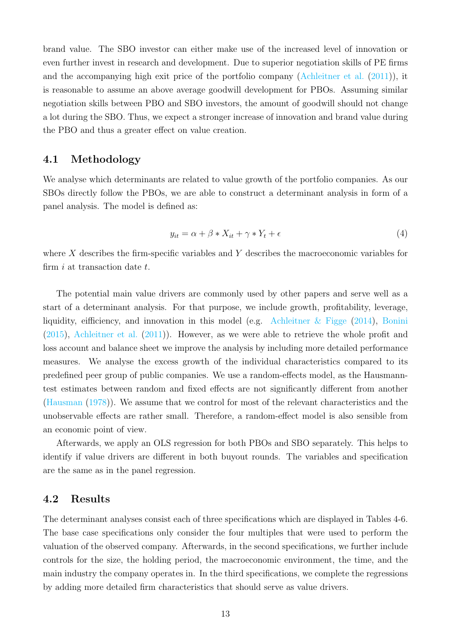brand value. The SBO investor can either make use of the increased level of innovation or even further invest in research and development. Due to superior negotiation skills of PE firms and the accompanying high exit price of the portfolio company [\(Achleitner et al.](#page-36-2) [\(2011\)](#page-36-2)), it is reasonable to assume an above average goodwill development for PBOs. Assuming similar negotiation skills between PBO and SBO investors, the amount of goodwill should not change a lot during the SBO. Thus, we expect a stronger increase of innovation and brand value during the PBO and thus a greater effect on value creation.

#### 4.1 Methodology

We analyse which determinants are related to value growth of the portfolio companies. As our SBOs directly follow the PBOs, we are able to construct a determinant analysis in form of a panel analysis. The model is defined as:

$$
y_{it} = \alpha + \beta * X_{it} + \gamma * Y_t + \epsilon \tag{4}
$$

where X describes the firm-specific variables and Y describes the macroeconomic variables for firm  $i$  at transaction date  $t$ .

The potential main value drivers are commonly used by other papers and serve well as a start of a determinant analysis. For that purpose, we include growth, profitability, leverage, liquidity, eifficiency, and innovation in this model (e.g. Achleitner  $\&$  Figge [\(2014\)](#page-36-1), [Bonini](#page-36-0) [\(2015\)](#page-36-0), [Achleitner et al.](#page-36-2) [\(2011\)](#page-36-2)). However, as we were able to retrieve the whole profit and loss account and balance sheet we improve the analysis by including more detailed performance measures. We analyse the excess growth of the individual characteristics compared to its predefined peer group of public companies. We use a random-effects model, as the Hausmanntest estimates between random and fixed effects are not significantly different from another [\(Hausman](#page-37-13) [\(1978\)](#page-37-13)). We assume that we control for most of the relevant characteristics and the unobservable effects are rather small. Therefore, a random-effect model is also sensible from an economic point of view.

Afterwards, we apply an OLS regression for both PBOs and SBO separately. This helps to identify if value drivers are different in both buyout rounds. The variables and specification are the same as in the panel regression.

#### 4.2 Results

The determinant analyses consist each of three specifications which are displayed in Tables 4-6. The base case specifications only consider the four multiples that were used to perform the valuation of the observed company. Afterwards, in the second specifications, we further include controls for the size, the holding period, the macroeconomic environment, the time, and the main industry the company operates in. In the third specifications, we complete the regressions by adding more detailed firm characteristics that should serve as value drivers.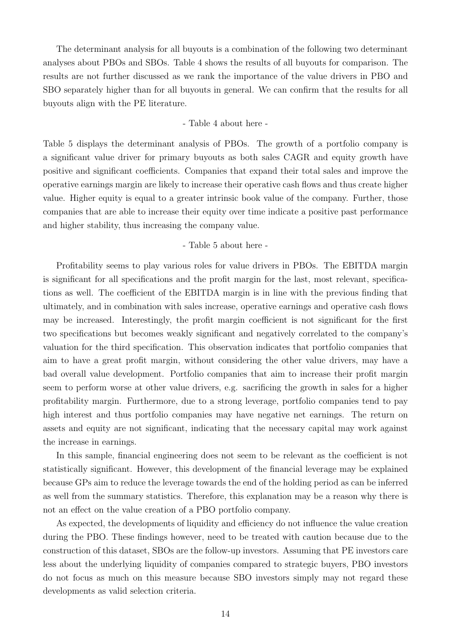The determinant analysis for all buyouts is a combination of the following two determinant analyses about PBOs and SBOs. Table 4 shows the results of all buyouts for comparison. The results are not further discussed as we rank the importance of the value drivers in PBO and SBO separately higher than for all buyouts in general. We can confirm that the results for all buyouts align with the PE literature.

- Table 4 about here -

Table 5 displays the determinant analysis of PBOs. The growth of a portfolio company is a significant value driver for primary buyouts as both sales CAGR and equity growth have positive and significant coefficients. Companies that expand their total sales and improve the operative earnings margin are likely to increase their operative cash flows and thus create higher value. Higher equity is equal to a greater intrinsic book value of the company. Further, those companies that are able to increase their equity over time indicate a positive past performance and higher stability, thus increasing the company value.

- Table 5 about here -

Profitability seems to play various roles for value drivers in PBOs. The EBITDA margin is significant for all specifications and the profit margin for the last, most relevant, specifications as well. The coefficient of the EBITDA margin is in line with the previous finding that ultimately, and in combination with sales increase, operative earnings and operative cash flows may be increased. Interestingly, the profit margin coefficient is not significant for the first two specifications but becomes weakly significant and negatively correlated to the company's valuation for the third specification. This observation indicates that portfolio companies that aim to have a great profit margin, without considering the other value drivers, may have a bad overall value development. Portfolio companies that aim to increase their profit margin seem to perform worse at other value drivers, e.g. sacrificing the growth in sales for a higher profitability margin. Furthermore, due to a strong leverage, portfolio companies tend to pay high interest and thus portfolio companies may have negative net earnings. The return on assets and equity are not significant, indicating that the necessary capital may work against the increase in earnings.

In this sample, financial engineering does not seem to be relevant as the coefficient is not statistically significant. However, this development of the financial leverage may be explained because GPs aim to reduce the leverage towards the end of the holding period as can be inferred as well from the summary statistics. Therefore, this explanation may be a reason why there is not an effect on the value creation of a PBO portfolio company.

As expected, the developments of liquidity and efficiency do not influence the value creation during the PBO. These findings however, need to be treated with caution because due to the construction of this dataset, SBOs are the follow-up investors. Assuming that PE investors care less about the underlying liquidity of companies compared to strategic buyers, PBO investors do not focus as much on this measure because SBO investors simply may not regard these developments as valid selection criteria.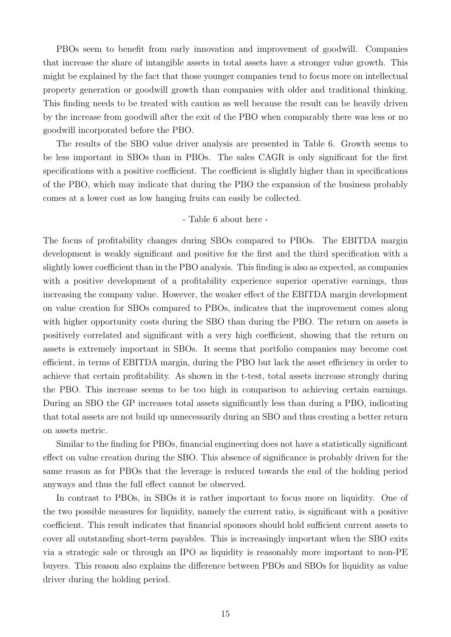PBOs seem to benefit from early innovation and improvement of goodwill. Companies that increase the share of intangible assets in total assets have a stronger value growth. This might be explained by the fact that those younger companies tend to focus more on intellectual property generation or goodwill growth than companies with older and traditional thinking. This finding needs to be treated with caution as well because the result can be heavily driven by the increase from goodwill after the exit of the PBO when comparably there was less or no goodwill incorporated before the PBO.

The results of the SBO value driver analysis are presented in Table 6. Growth seems to be less important in SBOs than in PBOs. The sales CAGR is only significant for the first specifications with a positive coefficient. The coefficient is slightly higher than in specifications of the PBO, which may indicate that during the PBO the expansion of the business probably comes at a lower cost as low hanging fruits can easily be collected.

#### - Table 6 about here -

The focus of profitability changes during SBOs compared to PBOs. The EBITDA margin development is weakly significant and positive for the first and the third specification with a slightly lower coefficient than in the PBO analysis. This finding is also as expected, as companies with a positive development of a profitability experience superior operative earnings, thus increasing the company value. However, the weaker effect of the EBITDA margin development on value creation for SBOs compared to PBOs, indicates that the improvement comes along with higher opportunity costs during the SBO than during the PBO. The return on assets is positively correlated and significant with a very high coefficient, showing that the return on assets is extremely important in SBOs. It seems that portfolio companies may become cost efficient, in terms of EBITDA margin, during the PBO but lack the asset efficiency in order to achieve that certain profitability. As shown in the t-test, total assets increase strongly during the PBO. This increase seems to be too high in comparison to achieving certain earnings. During an SBO the GP increases total assets significantly less than during a PBO, indicating that total assets are not build up unnecessarily during an SBO and thus creating a better return on assets metric.

Similar to the finding for PBOs, financial engineering does not have a statistically significant effect on value creation during the SBO. This absence of significance is probably driven for the same reason as for PBOs that the leverage is reduced towards the end of the holding period anyways and thus the full effect cannot be observed.

In contrast to PBOs, in SBOs it is rather important to focus more on liquidity. One of the two possible measures for liquidity, namely the current ratio, is significant with a positive coefficient. This result indicates that financial sponsors should hold sufficient current assets to cover all outstanding short-term payables. This is increasingly important when the SBO exits via a strategic sale or through an IPO as liquidity is reasonably more important to non-PE buyers. This reason also explains the difference between PBOs and SBOs for liquidity as value driver during the holding period.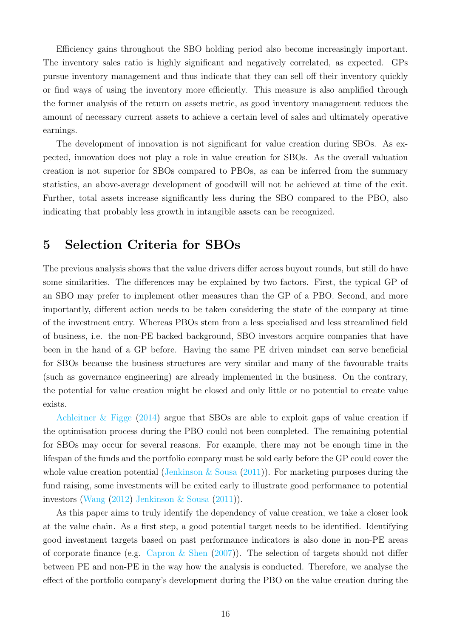Efficiency gains throughout the SBO holding period also become increasingly important. The inventory sales ratio is highly significant and negatively correlated, as expected. GPs pursue inventory management and thus indicate that they can sell off their inventory quickly or find ways of using the inventory more efficiently. This measure is also amplified through the former analysis of the return on assets metric, as good inventory management reduces the amount of necessary current assets to achieve a certain level of sales and ultimately operative earnings.

The development of innovation is not significant for value creation during SBOs. As expected, innovation does not play a role in value creation for SBOs. As the overall valuation creation is not superior for SBOs compared to PBOs, as can be inferred from the summary statistics, an above-average development of goodwill will not be achieved at time of the exit. Further, total assets increase significantly less during the SBO compared to the PBO, also indicating that probably less growth in intangible assets can be recognized.

## 5 Selection Criteria for SBOs

The previous analysis shows that the value drivers differ across buyout rounds, but still do have some similarities. The differences may be explained by two factors. First, the typical GP of an SBO may prefer to implement other measures than the GP of a PBO. Second, and more importantly, different action needs to be taken considering the state of the company at time of the investment entry. Whereas PBOs stem from a less specialised and less streamlined field of business, i.e. the non-PE backed background, SBO investors acquire companies that have been in the hand of a GP before. Having the same PE driven mindset can serve beneficial for SBOs because the business structures are very similar and many of the favourable traits (such as governance engineering) are already implemented in the business. On the contrary, the potential for value creation might be closed and only little or no potential to create value exists.

Achleitner  $\&$  Figge [\(2014\)](#page-36-1) argue that SBOs are able to exploit gaps of value creation if the optimisation process during the PBO could not been completed. The remaining potential for SBOs may occur for several reasons. For example, there may not be enough time in the lifespan of the funds and the portfolio company must be sold early before the GP could cover the whole value creation potential (Jenkinson  $&$  Sousa [\(2011\)](#page-37-14)). For marketing purposes during the fund raising, some investments will be exited early to illustrate good performance to potential investors [\(Wang](#page-38-0) [\(2012\)](#page-38-0) [Jenkinson & Sousa](#page-37-14) [\(2011\)](#page-37-14)).

As this paper aims to truly identify the dependency of value creation, we take a closer look at the value chain. As a first step, a good potential target needs to be identified. Identifying good investment targets based on past performance indicators is also done in non-PE areas of corporate finance (e.g. [Capron & Shen](#page-36-11)  $(2007)$ ). The selection of targets should not differ between PE and non-PE in the way how the analysis is conducted. Therefore, we analyse the effect of the portfolio company's development during the PBO on the value creation during the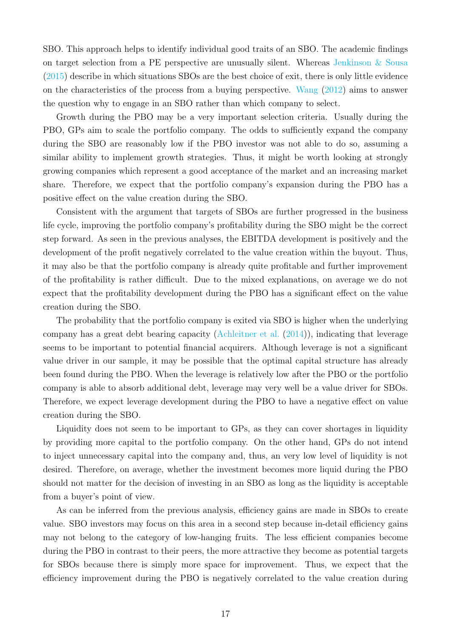SBO. This approach helps to identify individual good traits of an SBO. The academic findings on target selection from a PE perspective are unusually silent. Whereas Jenkinson  $&$  Sousa [\(2015\)](#page-37-0) describe in which situations SBOs are the best choice of exit, there is only little evidence on the characteristics of the process from a buying perspective. [Wang](#page-38-0) [\(2012\)](#page-38-0) aims to answer the question why to engage in an SBO rather than which company to select.

Growth during the PBO may be a very important selection criteria. Usually during the PBO, GPs aim to scale the portfolio company. The odds to sufficiently expand the company during the SBO are reasonably low if the PBO investor was not able to do so, assuming a similar ability to implement growth strategies. Thus, it might be worth looking at strongly growing companies which represent a good acceptance of the market and an increasing market share. Therefore, we expect that the portfolio company's expansion during the PBO has a positive effect on the value creation during the SBO.

Consistent with the argument that targets of SBOs are further progressed in the business life cycle, improving the portfolio company's profitability during the SBO might be the correct step forward. As seen in the previous analyses, the EBITDA development is positively and the development of the profit negatively correlated to the value creation within the buyout. Thus, it may also be that the portfolio company is already quite profitable and further improvement of the profitability is rather difficult. Due to the mixed explanations, on average we do not expect that the profitability development during the PBO has a significant effect on the value creation during the SBO.

The probability that the portfolio company is exited via SBO is higher when the underlying company has a great debt bearing capacity [\(Achleitner et al.](#page-36-12) [\(2014\)](#page-36-12)), indicating that leverage seems to be important to potential financial acquirers. Although leverage is not a significant value driver in our sample, it may be possible that the optimal capital structure has already been found during the PBO. When the leverage is relatively low after the PBO or the portfolio company is able to absorb additional debt, leverage may very well be a value driver for SBOs. Therefore, we expect leverage development during the PBO to have a negative effect on value creation during the SBO.

Liquidity does not seem to be important to GPs, as they can cover shortages in liquidity by providing more capital to the portfolio company. On the other hand, GPs do not intend to inject unnecessary capital into the company and, thus, an very low level of liquidity is not desired. Therefore, on average, whether the investment becomes more liquid during the PBO should not matter for the decision of investing in an SBO as long as the liquidity is acceptable from a buyer's point of view.

As can be inferred from the previous analysis, efficiency gains are made in SBOs to create value. SBO investors may focus on this area in a second step because in-detail efficiency gains may not belong to the category of low-hanging fruits. The less efficient companies become during the PBO in contrast to their peers, the more attractive they become as potential targets for SBOs because there is simply more space for improvement. Thus, we expect that the efficiency improvement during the PBO is negatively correlated to the value creation during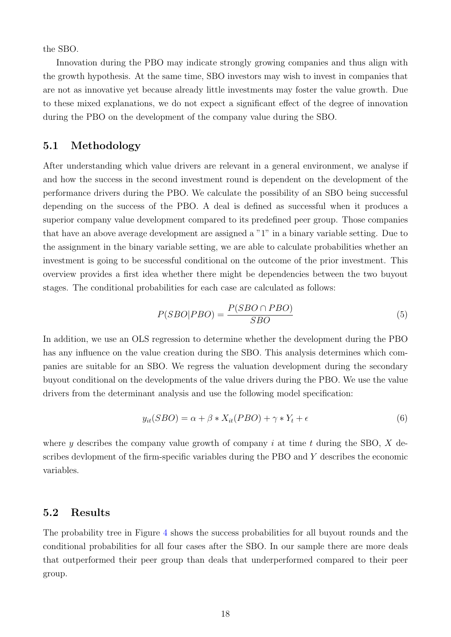the SBO.

Innovation during the PBO may indicate strongly growing companies and thus align with the growth hypothesis. At the same time, SBO investors may wish to invest in companies that are not as innovative yet because already little investments may foster the value growth. Due to these mixed explanations, we do not expect a significant effect of the degree of innovation during the PBO on the development of the company value during the SBO.

#### 5.1 Methodology

After understanding which value drivers are relevant in a general environment, we analyse if and how the success in the second investment round is dependent on the development of the performance drivers during the PBO. We calculate the possibility of an SBO being successful depending on the success of the PBO. A deal is defined as successful when it produces a superior company value development compared to its predefined peer group. Those companies that have an above average development are assigned a "1" in a binary variable setting. Due to the assignment in the binary variable setting, we are able to calculate probabilities whether an investment is going to be successful conditional on the outcome of the prior investment. This overview provides a first idea whether there might be dependencies between the two buyout stages. The conditional probabilities for each case are calculated as follows:

$$
P(SBO|PBO) = \frac{P(SBO \cap PBO)}{SBO}
$$
\n<sup>(5)</sup>

In addition, we use an OLS regression to determine whether the development during the PBO has any influence on the value creation during the SBO. This analysis determines which companies are suitable for an SBO. We regress the valuation development during the secondary buyout conditional on the developments of the value drivers during the PBO. We use the value drivers from the determinant analysis and use the following model specification:

$$
y_{it}(SBO) = \alpha + \beta * X_{it}(PBO) + \gamma * Y_t + \epsilon
$$
\n<sup>(6)</sup>

where y describes the company value growth of company i at time t during the SBO,  $X$  describes devlopment of the firm-specific variables during the PBO and Y describes the economic variables.

#### 5.2 Results

The probability tree in Figure [4](#page-26-1) shows the success probabilities for all buyout rounds and the conditional probabilities for all four cases after the SBO. In our sample there are more deals that outperformed their peer group than deals that underperformed compared to their peer group.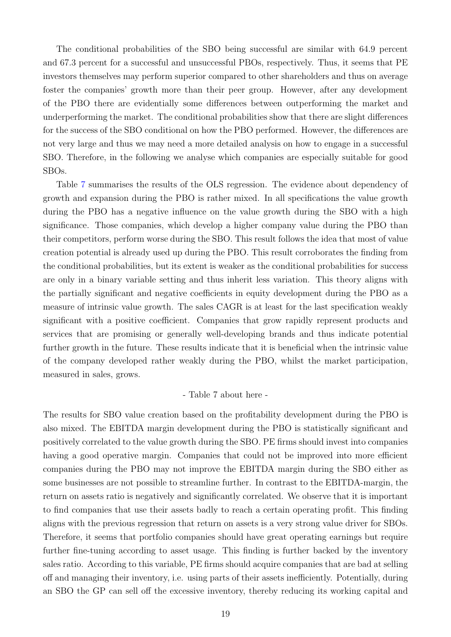The conditional probabilities of the SBO being successful are similar with 64.9 percent and 67.3 percent for a successful and unsuccessful PBOs, respectively. Thus, it seems that PE investors themselves may perform superior compared to other shareholders and thus on average foster the companies' growth more than their peer group. However, after any development of the PBO there are evidentially some differences between outperforming the market and underperforming the market. The conditional probabilities show that there are slight differences for the success of the SBO conditional on how the PBO performed. However, the differences are not very large and thus we may need a more detailed analysis on how to engage in a successful SBO. Therefore, in the following we analyse which companies are especially suitable for good SBOs.

Table [7](#page-34-0) summarises the results of the OLS regression. The evidence about dependency of growth and expansion during the PBO is rather mixed. In all specifications the value growth during the PBO has a negative influence on the value growth during the SBO with a high significance. Those companies, which develop a higher company value during the PBO than their competitors, perform worse during the SBO. This result follows the idea that most of value creation potential is already used up during the PBO. This result corroborates the finding from the conditional probabilities, but its extent is weaker as the conditional probabilities for success are only in a binary variable setting and thus inherit less variation. This theory aligns with the partially significant and negative coefficients in equity development during the PBO as a measure of intrinsic value growth. The sales CAGR is at least for the last specification weakly significant with a positive coefficient. Companies that grow rapidly represent products and services that are promising or generally well-developing brands and thus indicate potential further growth in the future. These results indicate that it is beneficial when the intrinsic value of the company developed rather weakly during the PBO, whilst the market participation, measured in sales, grows.

#### - Table 7 about here -

The results for SBO value creation based on the profitability development during the PBO is also mixed. The EBITDA margin development during the PBO is statistically significant and positively correlated to the value growth during the SBO. PE firms should invest into companies having a good operative margin. Companies that could not be improved into more efficient companies during the PBO may not improve the EBITDA margin during the SBO either as some businesses are not possible to streamline further. In contrast to the EBITDA-margin, the return on assets ratio is negatively and significantly correlated. We observe that it is important to find companies that use their assets badly to reach a certain operating profit. This finding aligns with the previous regression that return on assets is a very strong value driver for SBOs. Therefore, it seems that portfolio companies should have great operating earnings but require further fine-tuning according to asset usage. This finding is further backed by the inventory sales ratio. According to this variable, PE firms should acquire companies that are bad at selling off and managing their inventory, i.e. using parts of their assets inefficiently. Potentially, during an SBO the GP can sell off the excessive inventory, thereby reducing its working capital and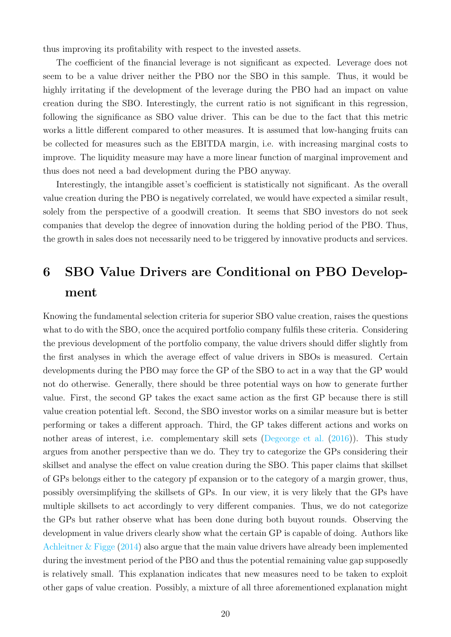thus improving its profitability with respect to the invested assets.

The coefficient of the financial leverage is not significant as expected. Leverage does not seem to be a value driver neither the PBO nor the SBO in this sample. Thus, it would be highly irritating if the development of the leverage during the PBO had an impact on value creation during the SBO. Interestingly, the current ratio is not significant in this regression, following the significance as SBO value driver. This can be due to the fact that this metric works a little different compared to other measures. It is assumed that low-hanging fruits can be collected for measures such as the EBITDA margin, i.e. with increasing marginal costs to improve. The liquidity measure may have a more linear function of marginal improvement and thus does not need a bad development during the PBO anyway.

Interestingly, the intangible asset's coefficient is statistically not significant. As the overall value creation during the PBO is negatively correlated, we would have expected a similar result, solely from the perspective of a goodwill creation. It seems that SBO investors do not seek companies that develop the degree of innovation during the holding period of the PBO. Thus, the growth in sales does not necessarily need to be triggered by innovative products and services.

## 6 SBO Value Drivers are Conditional on PBO Development

Knowing the fundamental selection criteria for superior SBO value creation, raises the questions what to do with the SBO, once the acquired portfolio company fulfils these criteria. Considering the previous development of the portfolio company, the value drivers should differ slightly from the first analyses in which the average effect of value drivers in SBOs is measured. Certain developments during the PBO may force the GP of the SBO to act in a way that the GP would not do otherwise. Generally, there should be three potential ways on how to generate further value. First, the second GP takes the exact same action as the first GP because there is still value creation potential left. Second, the SBO investor works on a similar measure but is better performing or takes a different approach. Third, the GP takes different actions and works on nother areas of interest, i.e. complementary skill sets [\(Degeorge et al.](#page-37-2) [\(2016\)](#page-37-2)). This study argues from another perspective than we do. They try to categorize the GPs considering their skillset and analyse the effect on value creation during the SBO. This paper claims that skillset of GPs belongs either to the category pf expansion or to the category of a margin grower, thus, possibly oversimplifying the skillsets of GPs. In our view, it is very likely that the GPs have multiple skillsets to act accordingly to very different companies. Thus, we do not categorize the GPs but rather observe what has been done during both buyout rounds. Observing the development in value drivers clearly show what the certain GP is capable of doing. Authors like Achleitner  $\&$  Figge [\(2014\)](#page-36-1) also argue that the main value drivers have already been implemented during the investment period of the PBO and thus the potential remaining value gap supposedly is relatively small. This explanation indicates that new measures need to be taken to exploit other gaps of value creation. Possibly, a mixture of all three aforementioned explanation might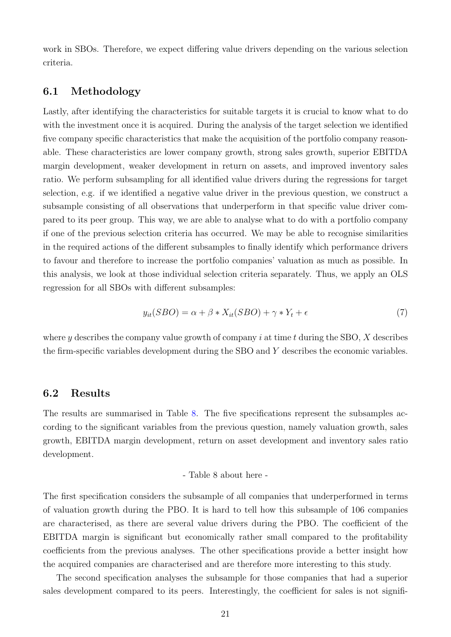work in SBOs. Therefore, we expect differing value drivers depending on the various selection criteria.

#### 6.1 Methodology

Lastly, after identifying the characteristics for suitable targets it is crucial to know what to do with the investment once it is acquired. During the analysis of the target selection we identified five company specific characteristics that make the acquisition of the portfolio company reasonable. These characteristics are lower company growth, strong sales growth, superior EBITDA margin development, weaker development in return on assets, and improved inventory sales ratio. We perform subsampling for all identified value drivers during the regressions for target selection, e.g. if we identified a negative value driver in the previous question, we construct a subsample consisting of all observations that underperform in that specific value driver compared to its peer group. This way, we are able to analyse what to do with a portfolio company if one of the previous selection criteria has occurred. We may be able to recognise similarities in the required actions of the different subsamples to finally identify which performance drivers to favour and therefore to increase the portfolio companies' valuation as much as possible. In this analysis, we look at those individual selection criteria separately. Thus, we apply an OLS regression for all SBOs with different subsamples:

$$
y_{it}(SBO) = \alpha + \beta * X_{it}(SBO) + \gamma * Y_t + \epsilon
$$
\n<sup>(7)</sup>

where y describes the company value growth of company i at time t during the SBO,  $X$  describes the firm-specific variables development during the SBO and Y describes the economic variables.

#### 6.2 Results

The results are summarised in Table [8.](#page-35-0) The five specifications represent the subsamples according to the significant variables from the previous question, namely valuation growth, sales growth, EBITDA margin development, return on asset development and inventory sales ratio development.

- Table 8 about here -

The first specification considers the subsample of all companies that underperformed in terms of valuation growth during the PBO. It is hard to tell how this subsample of 106 companies are characterised, as there are several value drivers during the PBO. The coefficient of the EBITDA margin is significant but economically rather small compared to the profitability coefficients from the previous analyses. The other specifications provide a better insight how the acquired companies are characterised and are therefore more interesting to this study.

The second specification analyses the subsample for those companies that had a superior sales development compared to its peers. Interestingly, the coefficient for sales is not signifi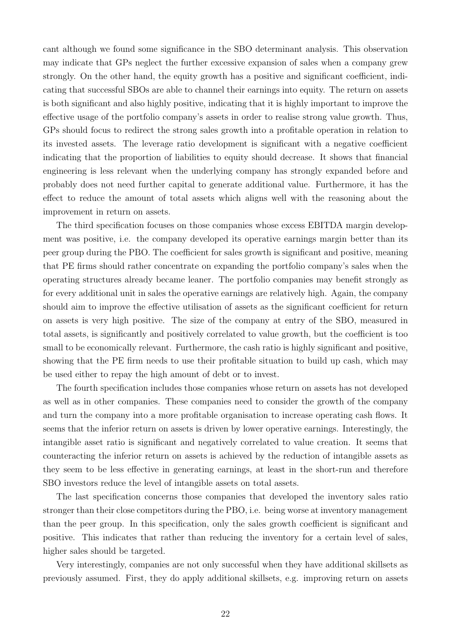cant although we found some significance in the SBO determinant analysis. This observation may indicate that GPs neglect the further excessive expansion of sales when a company grew strongly. On the other hand, the equity growth has a positive and significant coefficient, indicating that successful SBOs are able to channel their earnings into equity. The return on assets is both significant and also highly positive, indicating that it is highly important to improve the effective usage of the portfolio company's assets in order to realise strong value growth. Thus, GPs should focus to redirect the strong sales growth into a profitable operation in relation to its invested assets. The leverage ratio development is significant with a negative coefficient indicating that the proportion of liabilities to equity should decrease. It shows that financial engineering is less relevant when the underlying company has strongly expanded before and probably does not need further capital to generate additional value. Furthermore, it has the effect to reduce the amount of total assets which aligns well with the reasoning about the improvement in return on assets.

The third specification focuses on those companies whose excess EBITDA margin development was positive, i.e. the company developed its operative earnings margin better than its peer group during the PBO. The coefficient for sales growth is significant and positive, meaning that PE firms should rather concentrate on expanding the portfolio company's sales when the operating structures already became leaner. The portfolio companies may benefit strongly as for every additional unit in sales the operative earnings are relatively high. Again, the company should aim to improve the effective utilisation of assets as the significant coefficient for return on assets is very high positive. The size of the company at entry of the SBO, measured in total assets, is significantly and positively correlated to value growth, but the coefficient is too small to be economically relevant. Furthermore, the cash ratio is highly significant and positive, showing that the PE firm needs to use their profitable situation to build up cash, which may be used either to repay the high amount of debt or to invest.

The fourth specification includes those companies whose return on assets has not developed as well as in other companies. These companies need to consider the growth of the company and turn the company into a more profitable organisation to increase operating cash flows. It seems that the inferior return on assets is driven by lower operative earnings. Interestingly, the intangible asset ratio is significant and negatively correlated to value creation. It seems that counteracting the inferior return on assets is achieved by the reduction of intangible assets as they seem to be less effective in generating earnings, at least in the short-run and therefore SBO investors reduce the level of intangible assets on total assets.

The last specification concerns those companies that developed the inventory sales ratio stronger than their close competitors during the PBO, i.e. being worse at inventory management than the peer group. In this specification, only the sales growth coefficient is significant and positive. This indicates that rather than reducing the inventory for a certain level of sales, higher sales should be targeted.

Very interestingly, companies are not only successful when they have additional skillsets as previously assumed. First, they do apply additional skillsets, e.g. improving return on assets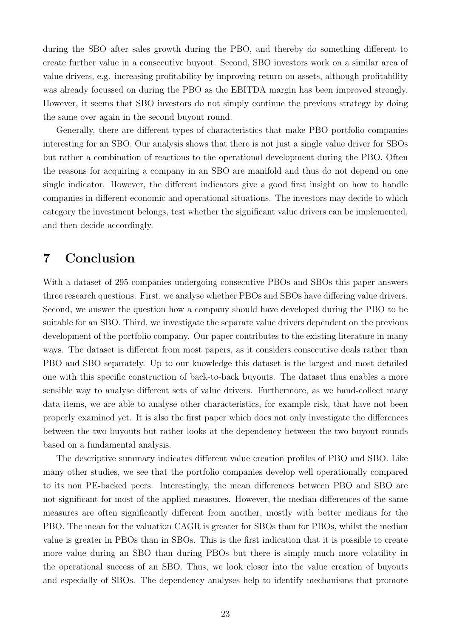during the SBO after sales growth during the PBO, and thereby do something different to create further value in a consecutive buyout. Second, SBO investors work on a similar area of value drivers, e.g. increasing profitability by improving return on assets, although profitability was already focussed on during the PBO as the EBITDA margin has been improved strongly. However, it seems that SBO investors do not simply continue the previous strategy by doing the same over again in the second buyout round.

Generally, there are different types of characteristics that make PBO portfolio companies interesting for an SBO. Our analysis shows that there is not just a single value driver for SBOs but rather a combination of reactions to the operational development during the PBO. Often the reasons for acquiring a company in an SBO are manifold and thus do not depend on one single indicator. However, the different indicators give a good first insight on how to handle companies in different economic and operational situations. The investors may decide to which category the investment belongs, test whether the significant value drivers can be implemented, and then decide accordingly.

## 7 Conclusion

With a dataset of 295 companies undergoing consecutive PBOs and SBOs this paper answers three research questions. First, we analyse whether PBOs and SBOs have differing value drivers. Second, we answer the question how a company should have developed during the PBO to be suitable for an SBO. Third, we investigate the separate value drivers dependent on the previous development of the portfolio company. Our paper contributes to the existing literature in many ways. The dataset is different from most papers, as it considers consecutive deals rather than PBO and SBO separately. Up to our knowledge this dataset is the largest and most detailed one with this specific construction of back-to-back buyouts. The dataset thus enables a more sensible way to analyse different sets of value drivers. Furthermore, as we hand-collect many data items, we are able to analyse other characteristics, for example risk, that have not been properly examined yet. It is also the first paper which does not only investigate the differences between the two buyouts but rather looks at the dependency between the two buyout rounds based on a fundamental analysis.

The descriptive summary indicates different value creation profiles of PBO and SBO. Like many other studies, we see that the portfolio companies develop well operationally compared to its non PE-backed peers. Interestingly, the mean differences between PBO and SBO are not significant for most of the applied measures. However, the median differences of the same measures are often significantly different from another, mostly with better medians for the PBO. The mean for the valuation CAGR is greater for SBOs than for PBOs, whilst the median value is greater in PBOs than in SBOs. This is the first indication that it is possible to create more value during an SBO than during PBOs but there is simply much more volatility in the operational success of an SBO. Thus, we look closer into the value creation of buyouts and especially of SBOs. The dependency analyses help to identify mechanisms that promote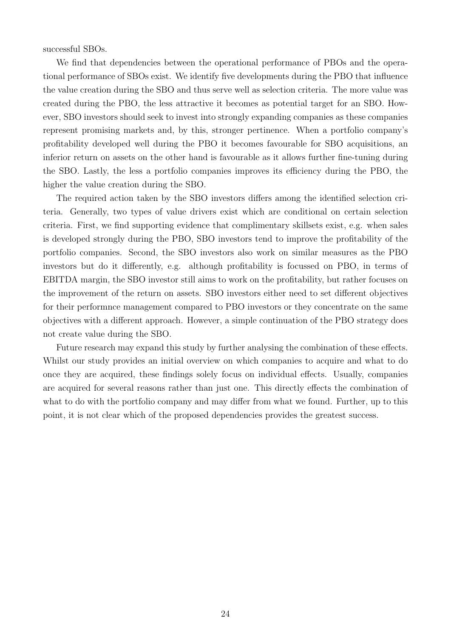successful SBOs.

We find that dependencies between the operational performance of PBOs and the operational performance of SBOs exist. We identify five developments during the PBO that influence the value creation during the SBO and thus serve well as selection criteria. The more value was created during the PBO, the less attractive it becomes as potential target for an SBO. However, SBO investors should seek to invest into strongly expanding companies as these companies represent promising markets and, by this, stronger pertinence. When a portfolio company's profitability developed well during the PBO it becomes favourable for SBO acquisitions, an inferior return on assets on the other hand is favourable as it allows further fine-tuning during the SBO. Lastly, the less a portfolio companies improves its efficiency during the PBO, the higher the value creation during the SBO.

The required action taken by the SBO investors differs among the identified selection criteria. Generally, two types of value drivers exist which are conditional on certain selection criteria. First, we find supporting evidence that complimentary skillsets exist, e.g. when sales is developed strongly during the PBO, SBO investors tend to improve the profitability of the portfolio companies. Second, the SBO investors also work on similar measures as the PBO investors but do it differently, e.g. although profitability is focussed on PBO, in terms of EBITDA margin, the SBO investor still aims to work on the profitability, but rather focuses on the improvement of the return on assets. SBO investors either need to set different objectives for their performnce management compared to PBO investors or they concentrate on the same objectives with a different approach. However, a simple continuation of the PBO strategy does not create value during the SBO.

Future research may expand this study by further analysing the combination of these effects. Whilst our study provides an initial overview on which companies to acquire and what to do once they are acquired, these findings solely focus on individual effects. Usually, companies are acquired for several reasons rather than just one. This directly effects the combination of what to do with the portfolio company and may differ from what we found. Further, up to this point, it is not clear which of the proposed dependencies provides the greatest success.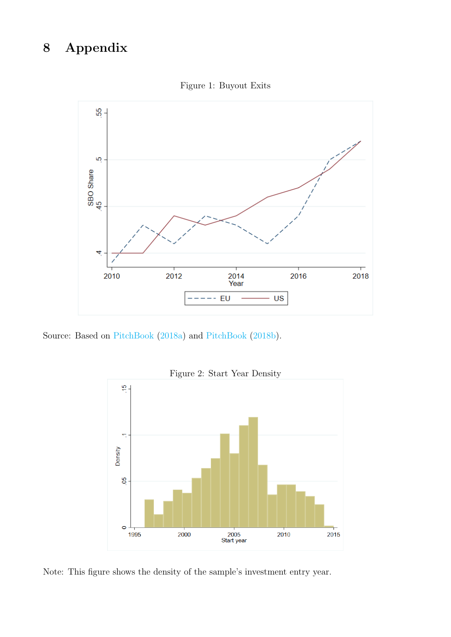## 8 Appendix



Figure 1: Buyout Exits

<span id="page-25-0"></span>Source: Based on [PitchBook](#page-37-15) [\(2018a\)](#page-37-15) and [PitchBook](#page-37-16) [\(2018b\)](#page-37-16).



Note: This figure shows the density of the sample's investment entry year.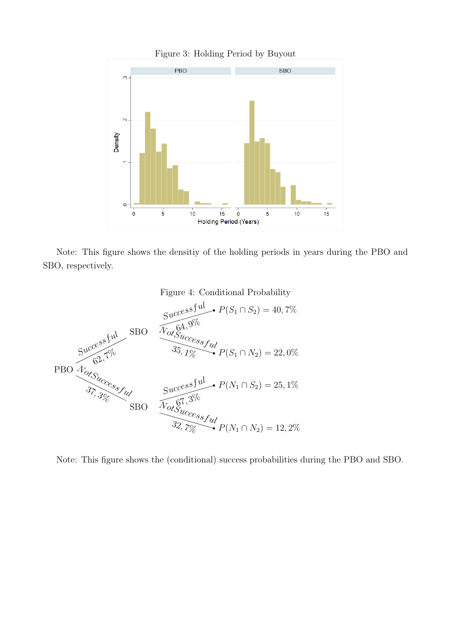<span id="page-26-0"></span>

Figure 3: Holding Period by Buyout



Figure 4: Conditional Probability

<span id="page-26-1"></span>

Note: This figure shows the (conditional) success probabilities during the PBO and SBO.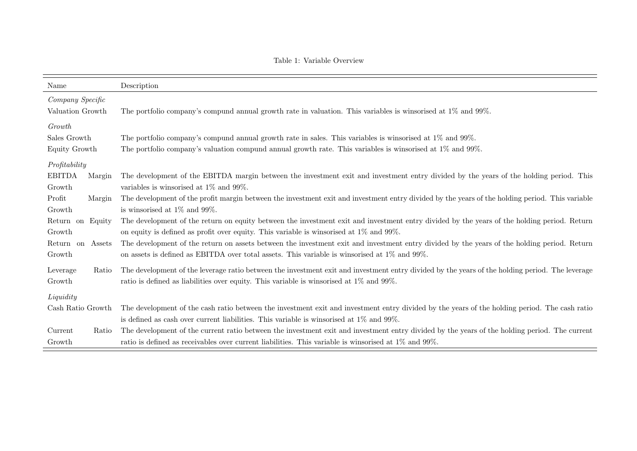<span id="page-27-0"></span>

| Name                                 | Description                                                                                                                                                                                                                                        |  |  |  |  |  |
|--------------------------------------|----------------------------------------------------------------------------------------------------------------------------------------------------------------------------------------------------------------------------------------------------|--|--|--|--|--|
| Company Specific<br>Valuation Growth | The portfolio company's compund annual growth rate in valuation. This variables is winsorised at $1\%$ and $99\%$ .                                                                                                                                |  |  |  |  |  |
| Growth                               |                                                                                                                                                                                                                                                    |  |  |  |  |  |
| Sales Growth<br>Equity Growth        | The portfolio company's compund annual growth rate in sales. This variables is winsorised at 1% and 99%.<br>The portfolio company's valuation compund annual growth rate. This variables is winsorised at $1\%$ and $99\%$ .                       |  |  |  |  |  |
| Profitability                        |                                                                                                                                                                                                                                                    |  |  |  |  |  |
| <b>EBITDA</b><br>Margin<br>Growth    | The development of the EBITDA margin between the investment exit and investment entry divided by the years of the holding period. This<br>variables is winsorised at $1\%$ and $99\%$ .                                                            |  |  |  |  |  |
| Profit<br>Margin<br>Growth           | The development of the profit margin between the investment exit and investment entry divided by the years of the holding period. This variable<br>is winsorised at $1\%$ and $99\%$ .                                                             |  |  |  |  |  |
| Return on Equity<br>Growth           | The development of the return on equity between the investment exit and investment entry divided by the years of the holding period. Return<br>on equity is defined as profit over equity. This variable is winsorised at $1\%$ and $99\%$ .       |  |  |  |  |  |
| Return on<br>Assets<br>Growth        | The development of the return on assets between the investment exit and investment entry divided by the years of the holding period. Return<br>on assets is defined as EBITDA over total assets. This variable is winsorised at $1\%$ and $99\%$ . |  |  |  |  |  |
| Leverage<br>Ratio<br>Growth          | The development of the leverage ratio between the investment exit and investment entry divided by the years of the holding period. The leverage<br>ratio is defined as liabilities over equity. This variable is winsorised at 1% and 99%.         |  |  |  |  |  |
| Liquidity                            |                                                                                                                                                                                                                                                    |  |  |  |  |  |
| Cash Ratio Growth                    | The development of the cash ratio between the investment exit and investment entry divided by the years of the holding period. The cash ratio                                                                                                      |  |  |  |  |  |
|                                      | is defined as cash over current liabilities. This variable is winsorised at $1\%$ and $99\%$ .                                                                                                                                                     |  |  |  |  |  |
| Current<br>Ratio                     | The development of the current ratio between the investment exit and investment entry divided by the years of the holding period. The current                                                                                                      |  |  |  |  |  |
| Growth                               | ratio is defined as receivables over current liabilities. This variable is winsorised at 1% and 99%.                                                                                                                                               |  |  |  |  |  |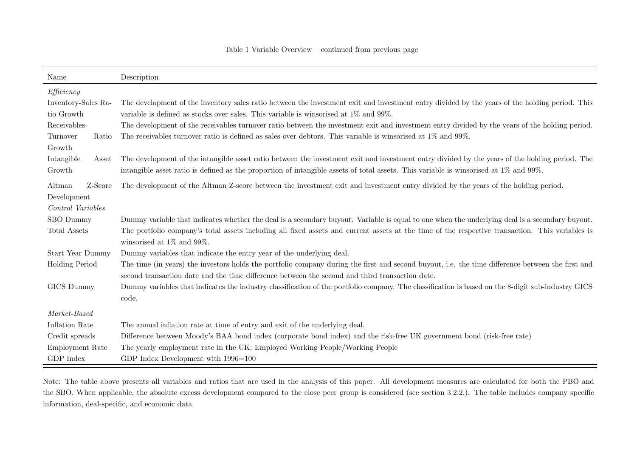| Name                  | Description                                                                                                                                                                         |  |  |  |  |  |  |  |
|-----------------------|-------------------------------------------------------------------------------------------------------------------------------------------------------------------------------------|--|--|--|--|--|--|--|
| Efficiency            |                                                                                                                                                                                     |  |  |  |  |  |  |  |
| Inventory-Sales Ra-   | The development of the inventory sales ratio between the investment exit and investment entry divided by the years of the holding period. This                                      |  |  |  |  |  |  |  |
| tio Growth            | variable is defined as stocks over sales. This variable is winsorised at $1\%$ and $99\%$ .                                                                                         |  |  |  |  |  |  |  |
| Receivables-          | The development of the receivables turnover ratio between the investment exit and investment entry divided by the years of the holding period.                                      |  |  |  |  |  |  |  |
| Turnover<br>Ratio     | The receivables turnover ratio is defined as sales over debtors. This variable is winsorised at 1% and 99%.                                                                         |  |  |  |  |  |  |  |
| Growth                |                                                                                                                                                                                     |  |  |  |  |  |  |  |
| Intangible<br>Asset   | The development of the intangible asset ratio between the investment exit and investment entry divided by the years of the holding period. The                                      |  |  |  |  |  |  |  |
| Growth                | intangible asset ratio is defined as the proportion of intangible assets of total assets. This variable is winsorised at $1\%$ and $99\%$ .                                         |  |  |  |  |  |  |  |
| Altman<br>Z-Score     | The development of the Altman Z-score between the investment exit and investment entry divided by the years of the holding period.                                                  |  |  |  |  |  |  |  |
| Development           |                                                                                                                                                                                     |  |  |  |  |  |  |  |
| Control Variables     |                                                                                                                                                                                     |  |  |  |  |  |  |  |
| SBO Dummy             | Dummy variable that indicates whether the deal is a secondary buyout. Variable is equal to one when the underlying deal is a secondary buyout.                                      |  |  |  |  |  |  |  |
| Total Assets          | The portfolio company's total assets including all fixed assets and current assets at the time of the respective transaction. This variables is<br>winsorised at $1\%$ and $99\%$ . |  |  |  |  |  |  |  |
| Start Year Dummy      | Dummy variables that indicate the entry year of the underlying deal.                                                                                                                |  |  |  |  |  |  |  |
| <b>Holding Period</b> | The time (in years) the investors holds the portfolio company during the first and second buyout, i.e. the time difference between the first and                                    |  |  |  |  |  |  |  |
|                       | second transaction date and the time difference between the second and third transaction date.                                                                                      |  |  |  |  |  |  |  |
| GICS Dummy            | Dummy variables that indicates the industry classification of the portfolio company. The classification is based on the 8-digit sub-industry GICS                                   |  |  |  |  |  |  |  |
|                       | code.                                                                                                                                                                               |  |  |  |  |  |  |  |
| Market-Based          |                                                                                                                                                                                     |  |  |  |  |  |  |  |
| Inflation Rate        | The annual inflation rate at time of entry and exit of the underlying deal.                                                                                                         |  |  |  |  |  |  |  |
| Credit spreads        | Difference between Moody's BAA bond index (corporate bond index) and the risk-free UK government bond (risk-free rate)                                                              |  |  |  |  |  |  |  |
| Employment Rate       | The yearly employment rate in the UK; Employed Working People/Working People                                                                                                        |  |  |  |  |  |  |  |
| GDP Index             | GDP Index Development with $1996=100$                                                                                                                                               |  |  |  |  |  |  |  |

Note: The table above presents all variables and ratios that are used in the analysis of this paper. All development measures are calculated for both the PBO and the SBO. When applicable, the absolute excess development compared to the close peer group is considered (see section 3.2.2.). The table includes company specificinformation, deal-specific, and economic data.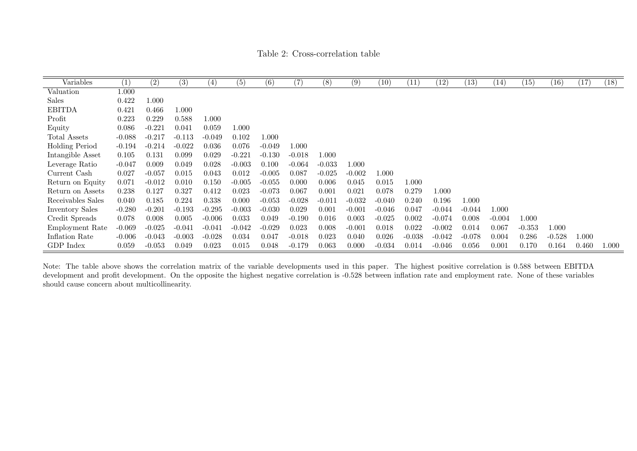Table 2: Cross-correlation table

| Variables         | (1)      | $\overline{(2)}$ | $\overline{(3)}$ | (4)      | (5)      | (6)      | (7)      | (8)       | (9)      | (10)     | (11)     | (12)     | (13)     | (14)     | (15)     | (16)     | (17)  | (18)  |
|-------------------|----------|------------------|------------------|----------|----------|----------|----------|-----------|----------|----------|----------|----------|----------|----------|----------|----------|-------|-------|
| Valuation         | 1.000    |                  |                  |          |          |          |          |           |          |          |          |          |          |          |          |          |       |       |
| Sales             | 0.422    | 1.000            |                  |          |          |          |          |           |          |          |          |          |          |          |          |          |       |       |
| <b>EBITDA</b>     | 0.421    | 0.466            | 1.000            |          |          |          |          |           |          |          |          |          |          |          |          |          |       |       |
| Profit            | 0.223    | 0.229            | 0.588            | 1.000    |          |          |          |           |          |          |          |          |          |          |          |          |       |       |
| Equity            | 0.086    | $-0.221$         | 0.041            | 0.059    | 1.000    |          |          |           |          |          |          |          |          |          |          |          |       |       |
| Total Assets      | $-0.088$ | $-0.217$         | $-0.113$         | $-0.049$ | 0.102    | 1.000    |          |           |          |          |          |          |          |          |          |          |       |       |
| Holding Period    | $-0.194$ | $-0.214$         | $-0.022$         | 0.036    | 0.076    | $-0.049$ | 1.000    |           |          |          |          |          |          |          |          |          |       |       |
| Intangible Asset  | 0.105    | 0.131            | 0.099            | 0.029    | $-0.221$ | $-0.130$ | $-0.018$ | $1.000\,$ |          |          |          |          |          |          |          |          |       |       |
| Leverage Ratio    | $-0.047$ | 0.009            | 0.049            | 0.028    | $-0.003$ | 0.100    | $-0.064$ | $-0.033$  | 1.000    |          |          |          |          |          |          |          |       |       |
| Current Cash      | 0.027    | $-0.057$         | 0.015            | 0.043    | 0.012    | $-0.005$ | 0.087    | $-0.025$  | $-0.002$ | 1.000    |          |          |          |          |          |          |       |       |
| Return on Equity  | 0.071    | $-0.012$         | 0.010            | 0.150    | $-0.005$ | $-0.055$ | 0.000    | 0.006     | 0.045    | 0.015    | 1.000    |          |          |          |          |          |       |       |
| Return on Assets  | 0.238    | 0.127            | 0.327            | 0.412    | 0.023    | $-0.073$ | 0.067    | 0.001     | 0.021    | 0.078    | 0.279    | 1.000    |          |          |          |          |       |       |
| Receivables Sales | 0.040    | 0.185            | 0.224            | 0.338    | 0.000    | $-0.053$ | $-0.028$ | $-0.011$  | $-0.032$ | $-0.040$ | 0.240    | 0.196    | 1.000    |          |          |          |       |       |
| Inventory Sales   | $-0.280$ | $-0.201$         | $-0.193$         | $-0.295$ | $-0.003$ | $-0.030$ | 0.029    | 0.001     | $-0.001$ | $-0.046$ | 0.047    | $-0.044$ | $-0.044$ | 1.000    |          |          |       |       |
| Credit Spreads    | 0.078    | 0.008            | 0.005            | $-0.006$ | 0.033    | 0.049    | $-0.190$ | 0.016     | 0.003    | $-0.025$ | 0.002    | $-0.074$ | 0.008    | $-0.004$ | 1.000    |          |       |       |
| Employment Rate   | $-0.069$ | $-0.025$         | $-0.041$         | $-0.041$ | $-0.042$ | $-0.029$ | 0.023    | 0.008     | $-0.001$ | 0.018    | 0.022    | $-0.002$ | 0.014    | 0.067    | $-0.353$ | 1.000    |       |       |
| Inflation Rate    | $-0.006$ | $-0.043$         | $-0.003$         | $-0.028$ | 0.034    | 0.047    | $-0.018$ | 0.023     | 0.040    | 0.026    | $-0.038$ | $-0.042$ | $-0.078$ | 0.004    | 0.286    | $-0.528$ | 1.000 |       |
| GDP Index         | 0.059    | $-0.053$         | 0.049            | 0.023    | 0.015    | 0.048    | $-0.179$ | 0.063     | 0.000    | $-0.034$ | 0.014    | $-0.046$ | 0.056    | 0.001    | 0.170    | 0.164    | 0.460 | 1.000 |

<span id="page-29-0"></span>Note: The table above shows the correlation matrix of the variable developments used in this paper. The highest positive correlation is 0.588 between EBITDA development and profit development. On the opposite the highest negative correlation is -0.528 between inflation rate and employment rate. None of these variablesshould cause concern about multicollinearity.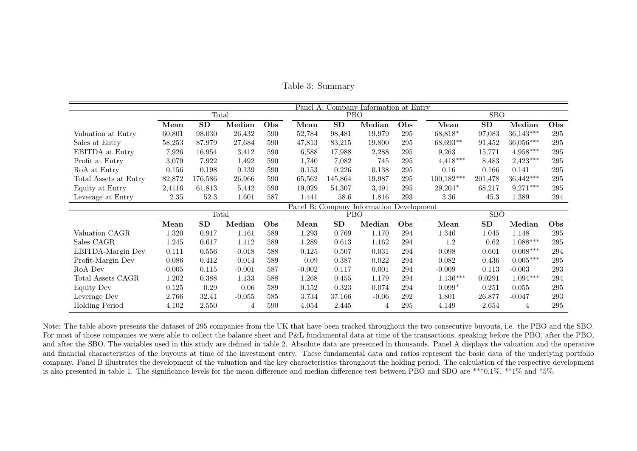|                       |                                          |         |          |     | Panel A: Company Information at Entry |         |         |     |              |            |                |            |  |
|-----------------------|------------------------------------------|---------|----------|-----|---------------------------------------|---------|---------|-----|--------------|------------|----------------|------------|--|
|                       |                                          | Total   |          |     |                                       | PBO     |         |     |              | <b>SBO</b> |                |            |  |
|                       | Mean                                     | SD      | Median   | Obs | Mean                                  | SD      | Median  | Obs | Mean         | SD         | Median         | Obs        |  |
| Valuation at Entry    | 60,801                                   | 98,030  | 26,432   | 590 | 52,784                                | 98,481  | 19,979  | 295 | 68,818*      | 97,083     | $36,143***$    | 295        |  |
| Sales at Entry        | 58,253                                   | 87,979  | 27,684   | 590 | 47,813                                | 83,215  | 19,800  | 295 | 68,693**     | 91,452     | 36,056***      | 295        |  |
| EBITDA at Entry       | 7,926                                    | 16,954  | 3,412    | 590 | 6,588                                 | 17,988  | 2,288   | 295 | 9,263        | 15,771     | $4,958***$     | 295        |  |
| Profit at Entry       | 3,079                                    | 7,922   | 1,492    | 590 | 1,740                                 | 7,082   | 745     | 295 | $4,418***$   | 8,483      | $2,423***$     | 295        |  |
| RoA at Entry          | 0.156                                    | 0.198   | 0.139    | 590 | 0.153                                 | 0.226   | 0.138   | 295 | 0.16         | 0.166      | 0.141          | 295        |  |
| Total Assets at Entry | 82,872                                   | 176,586 | 26,966   | 590 | 65,562                                | 145,864 | 19,987  | 295 | $100,182***$ | 201,478    | 36,442***      | 295        |  |
| Equity at Entry       | 2,4116                                   | 61,813  | 5,442    | 590 | 19,029                                | 54,307  | 3,491   | 295 | $29,204*$    | 68,217     | $9,271***$     | 295        |  |
| Leverage at Entry     | 2.35                                     | 52.3    | 1.601    | 587 | 1.441                                 | 58.6    | 1.816   | 293 | 3.36         | 45.3       | 1.389          | 294        |  |
|                       | Panel B: Company Information Development |         |          |     |                                       |         |         |     |              |            |                |            |  |
|                       |                                          | Total   |          |     |                                       | PBO     |         |     |              | <b>SBO</b> |                |            |  |
|                       | Mean                                     | SD      | Median   | Obs | Mean                                  | SD      | Median  | Obs | Mean         | SD         | Median         | <b>Obs</b> |  |
| Valuation CAGR        | 1.320                                    | 0.917   | 1.161    | 589 | 1.293                                 | 0.769   | 1.170   | 294 | 1.346        | 1.045      | 1.148          | 295        |  |
| Sales CAGR            | 1.245                                    | 0.617   | 1.112    | 589 | 1.289                                 | 0.613   | 1.162   | 294 | 1.2          | 0.62       | $1.088***$     | 295        |  |
| EBITDA-Margin Dev     | 0.111                                    | 0.556   | 0.018    | 588 | 0.125                                 | 0.507   | 0.031   | 294 | 0.098        | 0.601      | $0.008***$     | 294        |  |
| Profit-Margin Dev     | 0.086                                    | 0.412   | 0.014    | 589 | 0.09                                  | 0.387   | 0.022   | 294 | 0.082        | 0.436      | $0.005***$     | 295        |  |
| RoA Dev               | $-0.005$                                 | 0.115   | $-0.001$ | 587 | $-0.002$                              | 0.117   | 0.001   | 294 | $-0.009$     | 0.113      | $-0.003$       | 293        |  |
| Total Assets CAGR     | 1.202                                    | 0.388   | 1.133    | 588 | 1.268                                 | 0.455   | 1.179   | 294 | $1.136***$   | 0.0291     | $1.094***$     | 294        |  |
| <b>Equity Dev</b>     | 0.125                                    | 0.29    | 0.06     | 589 | 0.152                                 | 0.323   | 0.074   | 294 | $0.099*$     | 0.251      | 0.055          | 295        |  |
| Leverage Dev          | 2.766                                    | 32.41   | $-0.055$ | 585 | 3.734                                 | 37.166  | $-0.06$ | 292 | 1.801        | 26.877     | $-0.047$       | 293        |  |
| <b>Holding Period</b> | 4.102                                    | 2.550   | 4        | 590 | 4.054                                 | 2.445   | 4       | 295 | 4.149        | 2.654      | $\overline{4}$ | 295        |  |

Table 3: Summary

<span id="page-30-0"></span>Note: The table above presents the dataset of 295 companies from the UK that have been tracked throughout the two consecutive buyouts, i.e. the PBO and the SBO.For most of those companies we were able to collect the balance sheet and P&L fundamental data at time of the transactions, speaking before the PBO, after the PBO. and after the SBO. The variables used in this study are defined in table 2. Absolute data are presented in thousands. Panel A displays the valuation and the operative and financial characteristics of the buyouts at time of the investment entry. These fundamental data and ratios represent the basic data of the underlying portfolio company. Panel B illustrates the development of the valuation and the key characteristics throughout the holding period. The calculation of the respective developmentis also presented in table 1. The significance levels for the mean difference and median difference test between PBO and SBO are \*\*\*0.1%, \*\*1% and \*5%.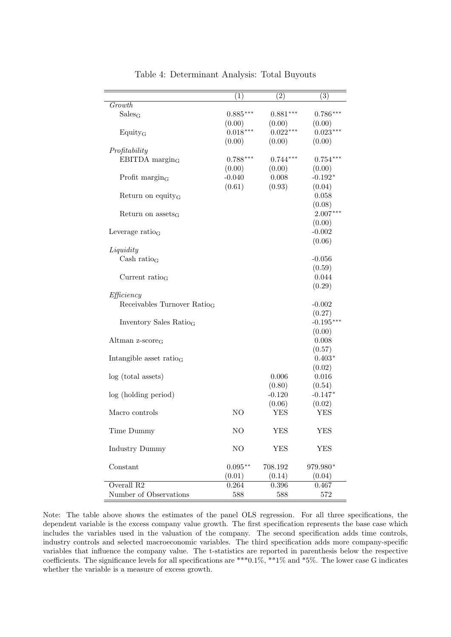|                                         | (1)        | $\overline{(2)}$ | (3)         |
|-----------------------------------------|------------|------------------|-------------|
| Growth                                  |            |                  |             |
| $Sales_G$                               | $0.885***$ | $0.881***$       | $0.786***$  |
|                                         | (0.00)     | (0.00)           | (0.00)      |
| Equity <sub>G</sub>                     | $0.018***$ | $0.022***$       | $0.023***$  |
|                                         | (0.00)     | (0.00)           | (0.00)      |
| Profitability                           |            |                  |             |
| $EBITDA$ margin <sub>G</sub>            | $0.788***$ | $0.744***$       | $0.754***$  |
|                                         | (0.00)     | (0.00)           | (0.00)      |
| Profit $\rm{margin}_G$                  | $-0.040$   | 0.008            | $-0.192*$   |
|                                         | (0.61)     | (0.93)           | (0.04)      |
|                                         |            |                  | 0.058       |
| Return on equity <sub>G</sub>           |            |                  |             |
|                                         |            |                  | (0.08)      |
| Return on $assets_G$                    |            |                  | $2.007***$  |
|                                         |            |                  | (0.00)      |
| Leverage ratio $_G$                     |            |                  | $-0.002$    |
|                                         |            |                  | (0.06)      |
| Liquidity                               |            |                  |             |
| Cash ratio <sub>G</sub>                 |            |                  | $-0.056$    |
|                                         |            |                  | (0.59)      |
| Current ratio <sub>G</sub>              |            |                  | 0.044       |
|                                         |            |                  | (0.29)      |
| Efficiency                              |            |                  |             |
| Receivables Turnover Ratio <sub>G</sub> |            |                  | $-0.002$    |
|                                         |            |                  | (0.27)      |
| Inventory Sales Ratio <sub>G</sub>      |            |                  | $-0.195***$ |
|                                         |            |                  | (0.00)      |
| Altman $z$ -score <sub>G</sub>          |            |                  | 0.008       |
|                                         |            |                  | (0.57)      |
| Intangible asset ratio $_G$             |            |                  | $0.403*$    |
|                                         |            |                  |             |
|                                         |            |                  | (0.02)      |
| log (total assets)                      |            | 0.006            | 0.016       |
|                                         |            | (0.80)           | (0.54)      |
| log (holding period)                    |            | $-0.120$         | $-0.147*$   |
|                                         |            | (0.06)           | (0.02)      |
| Macro controls                          | NO.        | YES              | YES         |
|                                         |            |                  |             |
| Time Dummy                              | NO         | <b>YES</b>       | <b>YES</b>  |
|                                         |            |                  |             |
| <b>Industry Dummy</b>                   | NO         | <b>YES</b>       | <b>YES</b>  |
|                                         |            |                  |             |
| Constant                                | $0.095**$  | 708.192          | 979.980*    |
|                                         | (0.01)     | (0.14)           | (0.04)      |
| Overall R <sub>2</sub>                  | 0.264      | 0.396            | 0.467       |
| Number of Observations                  | 588        | 588              | $572\,$     |
|                                         |            |                  |             |

Table 4: Determinant Analysis: Total Buyouts

Note: The table above shows the estimates of the panel OLS regression. For all three specifications, the dependent variable is the excess company value growth. The first specification represents the base case which includes the variables used in the valuation of the company. The second specification adds time controls, industry controls and selected macroeconomic variables. The third specification adds more company-specific variables that influence the company value. The t-statistics are reported in parenthesis below the respective coefficients. The significance levels for all specifications are \*\*\*0.1%, \*\*1% and \*5%. The lower case G indicates whether the variable is a measure of excess growth.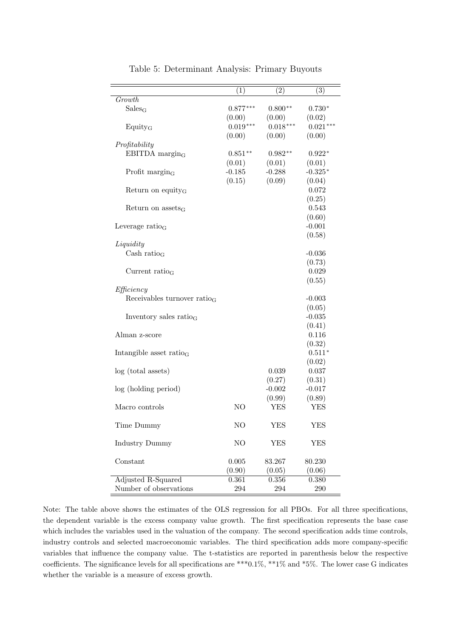|                                 | (1)            | $\overline{(2)}$ | $\overline{(3)}$ |
|---------------------------------|----------------|------------------|------------------|
| Growth                          |                |                  |                  |
| Sales <sub>G</sub>              | $0.877***$     | $0.800**$        | $0.730*$         |
|                                 | (0.00)         | (0.00)           | (0.02)           |
| Equity <sub>G</sub>             | $0.019***$     | $0.018***$       | $0.021***$       |
|                                 | (0.00)         | (0.00)           | (0.00)           |
| Profitability                   |                |                  |                  |
| EBITDA margin $_G$              | $0.851**$      | $0.982**$        | $0.922*$         |
|                                 | (0.01)         | (0.01)           | (0.01)           |
| Profit $\rm{margin}_G$          | $-0.185$       | $-0.288$         | $-0.325*$        |
|                                 | (0.15)         | (0.09)           | (0.04)           |
| Return on equity <sub>G</sub>   |                |                  | 0.072            |
|                                 |                |                  | (0.25)           |
| Return on $assets_G$            |                |                  | 0.543            |
|                                 |                |                  | (0.60)           |
| Leverage $ratio_G$              |                |                  | $-0.001$         |
|                                 |                |                  | (0.58)           |
| Liquidity                       |                |                  |                  |
| Cash ratio $_G$                 |                |                  | $-0.036$         |
|                                 |                |                  | (0.73)           |
| Current ratio <sub>G</sub>      |                |                  | 0.029            |
|                                 |                |                  | (0.55)           |
| Efficiency                      |                |                  |                  |
| Receivables turnover ratio $_G$ |                |                  | $-0.003$         |
|                                 |                |                  | (0.05)           |
| Inventory sales ratio $_G$      |                |                  | $-0.035$         |
|                                 |                |                  | (0.41)           |
| Alman z-score                   |                |                  | 0.116            |
|                                 |                |                  | (0.32)           |
| Intangible asset ratio $_G$     |                |                  | $0.511*$         |
|                                 |                |                  | (0.02)           |
| log (total assets)              |                | 0.039            | 0.037            |
|                                 |                | (0.27)           | (0.31)           |
| log (holding period)            |                | $-0.002$         | $-0.017$         |
|                                 |                | (0.99)           | (0.89)           |
| Macro controls                  | NO             | YES              | YES              |
|                                 |                |                  |                  |
| Time Dummy                      | N <sub>O</sub> | <b>YES</b>       | <b>YES</b>       |
|                                 |                |                  |                  |
| <b>Industry Dummy</b>           | NO             | <b>YES</b>       | <b>YES</b>       |
|                                 |                |                  |                  |
| Constant                        | 0.005          | 83.267           | 80.230           |
|                                 | (0.90)         | (0.05)           | (0.06)           |
| Adjusted R-Squared              | 0.361          | 0.356            | 0.380            |
| Number of observations          | 294            | 294              | 290              |

Table 5: Determinant Analysis: Primary Buyouts

Note: The table above shows the estimates of the OLS regression for all PBOs. For all three specifications, the dependent variable is the excess company value growth. The first specification represents the base case which includes the variables used in the valuation of the company. The second specification adds time controls, industry controls and selected macroeconomic variables. The third specification adds more company-specific variables that influence the company value. The t-statistics are reported in parenthesis below the respective coefficients. The significance levels for all specifications are \*\*\*0.1%, \*\*1% and \*5%. The lower case G indicates whether the variable is a measure of excess growth.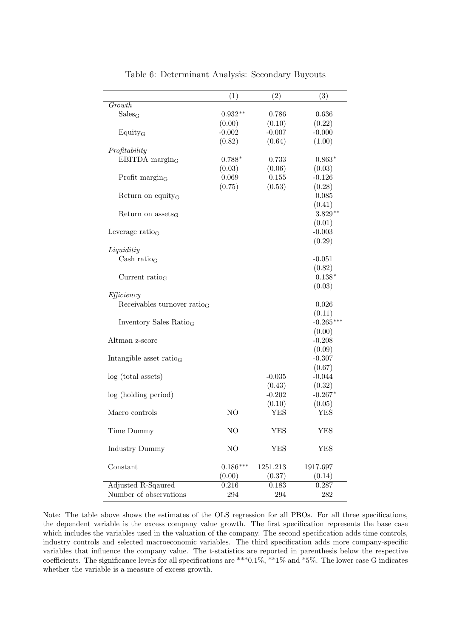| Growth<br>Sales <sub>G</sub><br>$0.932**$<br>0.786<br>0.636<br>(0.00)<br>(0.10)<br>(0.22)<br>$-0.002$<br>$-0.007$<br>$-0.000$<br>Equity <sub>G</sub><br>(0.82)<br>(0.64)<br>(1.00)<br>Profitability<br>EBITDA margin $_G$<br>$0.788*$<br>0.733<br>$0.863*$<br>(0.03)<br>(0.06)<br>(0.03)<br>0.069<br>0.155<br>Profit $\rm{margin}_G$<br>$-0.126$<br>(0.75)<br>(0.53)<br>(0.28)<br>0.085<br>Return on equity <sub>G</sub><br>(0.41)<br>$3.829**$<br>Return on $assets_G$<br>(0.01)<br>$-0.003$<br>Leverage $ratio_G$<br>(0.29)<br>Liquiditiy<br>Cash ratio <sub>G</sub><br>$-0.051$<br>(0.82)<br>$0.138*$<br>Current ratio $_G$<br>(0.03)<br>Efficiency<br>Receivables turnover ratio $_G$<br>0.026<br>(0.11)<br>$-0.265***$<br>Inventory Sales Ratio <sub>G</sub><br>(0.00)<br>$-0.208$<br>Altman z-score<br>(0.09)<br>$-0.307$<br>Intangible asset ratio $_G$<br>(0.67)<br>$-0.044$<br>log (total assets)<br>$-0.035$<br>(0.32)<br>(0.43)<br>$-0.202$<br>$-0.267*$<br>log (holding period)<br>(0.10)<br>(0.05)<br><b>YES</b><br><b>YES</b><br>NO<br>Macro controls<br>N <sub>O</sub><br><b>YES</b><br><b>YES</b><br>Time Dummy<br>NO<br><b>Industry Dummy</b><br><b>YES</b><br><b>YES</b><br>Constant<br>$0.186***$<br>1251.213<br>1917.697<br>(0.37)<br>(0.00)<br>(0.14)<br>Adjusted R-Sqaured<br>0.216<br>0.183<br>0.287 |                        | (1) | $\overline{(2)}$ | (3)     |
|-----------------------------------------------------------------------------------------------------------------------------------------------------------------------------------------------------------------------------------------------------------------------------------------------------------------------------------------------------------------------------------------------------------------------------------------------------------------------------------------------------------------------------------------------------------------------------------------------------------------------------------------------------------------------------------------------------------------------------------------------------------------------------------------------------------------------------------------------------------------------------------------------------------------------------------------------------------------------------------------------------------------------------------------------------------------------------------------------------------------------------------------------------------------------------------------------------------------------------------------------------------------------------------------------------------------------------|------------------------|-----|------------------|---------|
|                                                                                                                                                                                                                                                                                                                                                                                                                                                                                                                                                                                                                                                                                                                                                                                                                                                                                                                                                                                                                                                                                                                                                                                                                                                                                                                             |                        |     |                  |         |
|                                                                                                                                                                                                                                                                                                                                                                                                                                                                                                                                                                                                                                                                                                                                                                                                                                                                                                                                                                                                                                                                                                                                                                                                                                                                                                                             |                        |     |                  |         |
|                                                                                                                                                                                                                                                                                                                                                                                                                                                                                                                                                                                                                                                                                                                                                                                                                                                                                                                                                                                                                                                                                                                                                                                                                                                                                                                             |                        |     |                  |         |
|                                                                                                                                                                                                                                                                                                                                                                                                                                                                                                                                                                                                                                                                                                                                                                                                                                                                                                                                                                                                                                                                                                                                                                                                                                                                                                                             |                        |     |                  |         |
|                                                                                                                                                                                                                                                                                                                                                                                                                                                                                                                                                                                                                                                                                                                                                                                                                                                                                                                                                                                                                                                                                                                                                                                                                                                                                                                             |                        |     |                  |         |
|                                                                                                                                                                                                                                                                                                                                                                                                                                                                                                                                                                                                                                                                                                                                                                                                                                                                                                                                                                                                                                                                                                                                                                                                                                                                                                                             |                        |     |                  |         |
|                                                                                                                                                                                                                                                                                                                                                                                                                                                                                                                                                                                                                                                                                                                                                                                                                                                                                                                                                                                                                                                                                                                                                                                                                                                                                                                             |                        |     |                  |         |
|                                                                                                                                                                                                                                                                                                                                                                                                                                                                                                                                                                                                                                                                                                                                                                                                                                                                                                                                                                                                                                                                                                                                                                                                                                                                                                                             |                        |     |                  |         |
|                                                                                                                                                                                                                                                                                                                                                                                                                                                                                                                                                                                                                                                                                                                                                                                                                                                                                                                                                                                                                                                                                                                                                                                                                                                                                                                             |                        |     |                  |         |
|                                                                                                                                                                                                                                                                                                                                                                                                                                                                                                                                                                                                                                                                                                                                                                                                                                                                                                                                                                                                                                                                                                                                                                                                                                                                                                                             |                        |     |                  |         |
|                                                                                                                                                                                                                                                                                                                                                                                                                                                                                                                                                                                                                                                                                                                                                                                                                                                                                                                                                                                                                                                                                                                                                                                                                                                                                                                             |                        |     |                  |         |
|                                                                                                                                                                                                                                                                                                                                                                                                                                                                                                                                                                                                                                                                                                                                                                                                                                                                                                                                                                                                                                                                                                                                                                                                                                                                                                                             |                        |     |                  |         |
|                                                                                                                                                                                                                                                                                                                                                                                                                                                                                                                                                                                                                                                                                                                                                                                                                                                                                                                                                                                                                                                                                                                                                                                                                                                                                                                             |                        |     |                  |         |
|                                                                                                                                                                                                                                                                                                                                                                                                                                                                                                                                                                                                                                                                                                                                                                                                                                                                                                                                                                                                                                                                                                                                                                                                                                                                                                                             |                        |     |                  |         |
|                                                                                                                                                                                                                                                                                                                                                                                                                                                                                                                                                                                                                                                                                                                                                                                                                                                                                                                                                                                                                                                                                                                                                                                                                                                                                                                             |                        |     |                  |         |
|                                                                                                                                                                                                                                                                                                                                                                                                                                                                                                                                                                                                                                                                                                                                                                                                                                                                                                                                                                                                                                                                                                                                                                                                                                                                                                                             |                        |     |                  |         |
|                                                                                                                                                                                                                                                                                                                                                                                                                                                                                                                                                                                                                                                                                                                                                                                                                                                                                                                                                                                                                                                                                                                                                                                                                                                                                                                             |                        |     |                  |         |
|                                                                                                                                                                                                                                                                                                                                                                                                                                                                                                                                                                                                                                                                                                                                                                                                                                                                                                                                                                                                                                                                                                                                                                                                                                                                                                                             |                        |     |                  |         |
|                                                                                                                                                                                                                                                                                                                                                                                                                                                                                                                                                                                                                                                                                                                                                                                                                                                                                                                                                                                                                                                                                                                                                                                                                                                                                                                             |                        |     |                  |         |
|                                                                                                                                                                                                                                                                                                                                                                                                                                                                                                                                                                                                                                                                                                                                                                                                                                                                                                                                                                                                                                                                                                                                                                                                                                                                                                                             |                        |     |                  |         |
|                                                                                                                                                                                                                                                                                                                                                                                                                                                                                                                                                                                                                                                                                                                                                                                                                                                                                                                                                                                                                                                                                                                                                                                                                                                                                                                             |                        |     |                  |         |
|                                                                                                                                                                                                                                                                                                                                                                                                                                                                                                                                                                                                                                                                                                                                                                                                                                                                                                                                                                                                                                                                                                                                                                                                                                                                                                                             |                        |     |                  |         |
|                                                                                                                                                                                                                                                                                                                                                                                                                                                                                                                                                                                                                                                                                                                                                                                                                                                                                                                                                                                                                                                                                                                                                                                                                                                                                                                             |                        |     |                  |         |
|                                                                                                                                                                                                                                                                                                                                                                                                                                                                                                                                                                                                                                                                                                                                                                                                                                                                                                                                                                                                                                                                                                                                                                                                                                                                                                                             |                        |     |                  |         |
|                                                                                                                                                                                                                                                                                                                                                                                                                                                                                                                                                                                                                                                                                                                                                                                                                                                                                                                                                                                                                                                                                                                                                                                                                                                                                                                             |                        |     |                  |         |
|                                                                                                                                                                                                                                                                                                                                                                                                                                                                                                                                                                                                                                                                                                                                                                                                                                                                                                                                                                                                                                                                                                                                                                                                                                                                                                                             |                        |     |                  |         |
|                                                                                                                                                                                                                                                                                                                                                                                                                                                                                                                                                                                                                                                                                                                                                                                                                                                                                                                                                                                                                                                                                                                                                                                                                                                                                                                             |                        |     |                  |         |
|                                                                                                                                                                                                                                                                                                                                                                                                                                                                                                                                                                                                                                                                                                                                                                                                                                                                                                                                                                                                                                                                                                                                                                                                                                                                                                                             |                        |     |                  |         |
|                                                                                                                                                                                                                                                                                                                                                                                                                                                                                                                                                                                                                                                                                                                                                                                                                                                                                                                                                                                                                                                                                                                                                                                                                                                                                                                             |                        |     |                  |         |
|                                                                                                                                                                                                                                                                                                                                                                                                                                                                                                                                                                                                                                                                                                                                                                                                                                                                                                                                                                                                                                                                                                                                                                                                                                                                                                                             |                        |     |                  |         |
|                                                                                                                                                                                                                                                                                                                                                                                                                                                                                                                                                                                                                                                                                                                                                                                                                                                                                                                                                                                                                                                                                                                                                                                                                                                                                                                             |                        |     |                  |         |
|                                                                                                                                                                                                                                                                                                                                                                                                                                                                                                                                                                                                                                                                                                                                                                                                                                                                                                                                                                                                                                                                                                                                                                                                                                                                                                                             |                        |     |                  |         |
|                                                                                                                                                                                                                                                                                                                                                                                                                                                                                                                                                                                                                                                                                                                                                                                                                                                                                                                                                                                                                                                                                                                                                                                                                                                                                                                             |                        |     |                  |         |
|                                                                                                                                                                                                                                                                                                                                                                                                                                                                                                                                                                                                                                                                                                                                                                                                                                                                                                                                                                                                                                                                                                                                                                                                                                                                                                                             |                        |     |                  |         |
|                                                                                                                                                                                                                                                                                                                                                                                                                                                                                                                                                                                                                                                                                                                                                                                                                                                                                                                                                                                                                                                                                                                                                                                                                                                                                                                             |                        |     |                  |         |
|                                                                                                                                                                                                                                                                                                                                                                                                                                                                                                                                                                                                                                                                                                                                                                                                                                                                                                                                                                                                                                                                                                                                                                                                                                                                                                                             |                        |     |                  |         |
|                                                                                                                                                                                                                                                                                                                                                                                                                                                                                                                                                                                                                                                                                                                                                                                                                                                                                                                                                                                                                                                                                                                                                                                                                                                                                                                             |                        |     |                  |         |
|                                                                                                                                                                                                                                                                                                                                                                                                                                                                                                                                                                                                                                                                                                                                                                                                                                                                                                                                                                                                                                                                                                                                                                                                                                                                                                                             |                        |     |                  |         |
|                                                                                                                                                                                                                                                                                                                                                                                                                                                                                                                                                                                                                                                                                                                                                                                                                                                                                                                                                                                                                                                                                                                                                                                                                                                                                                                             |                        |     |                  |         |
|                                                                                                                                                                                                                                                                                                                                                                                                                                                                                                                                                                                                                                                                                                                                                                                                                                                                                                                                                                                                                                                                                                                                                                                                                                                                                                                             |                        |     |                  |         |
|                                                                                                                                                                                                                                                                                                                                                                                                                                                                                                                                                                                                                                                                                                                                                                                                                                                                                                                                                                                                                                                                                                                                                                                                                                                                                                                             |                        |     |                  |         |
|                                                                                                                                                                                                                                                                                                                                                                                                                                                                                                                                                                                                                                                                                                                                                                                                                                                                                                                                                                                                                                                                                                                                                                                                                                                                                                                             |                        |     |                  |         |
|                                                                                                                                                                                                                                                                                                                                                                                                                                                                                                                                                                                                                                                                                                                                                                                                                                                                                                                                                                                                                                                                                                                                                                                                                                                                                                                             |                        |     |                  |         |
|                                                                                                                                                                                                                                                                                                                                                                                                                                                                                                                                                                                                                                                                                                                                                                                                                                                                                                                                                                                                                                                                                                                                                                                                                                                                                                                             | Number of observations | 294 | 294              | $282\,$ |

Table 6: Determinant Analysis: Secondary Buyouts

Note: The table above shows the estimates of the OLS regression for all PBOs. For all three specifications, the dependent variable is the excess company value growth. The first specification represents the base case which includes the variables used in the valuation of the company. The second specification adds time controls, industry controls and selected macroeconomic variables. The third specification adds more company-specific variables that influence the company value. The t-statistics are reported in parenthesis below the respective coefficients. The significance levels for all specifications are \*\*\*0.1%, \*\*1% and \*5%. The lower case G indicates whether the variable is a measure of excess growth.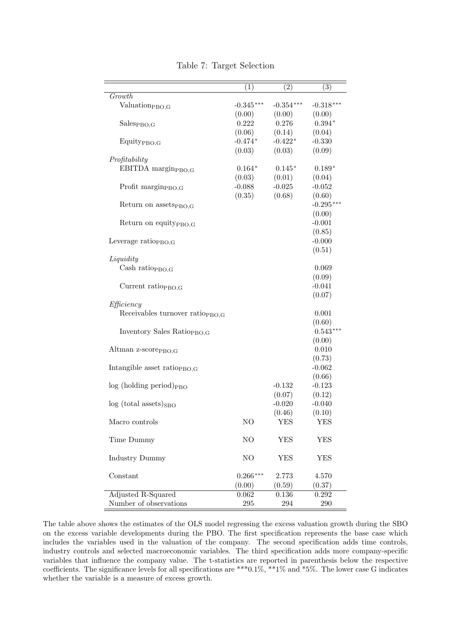<span id="page-34-0"></span>

|                                             | $\overline{(1)}$ | $\overline{(2)}$ | $\overline{(3)}$ |
|---------------------------------------------|------------------|------------------|------------------|
| Growth                                      |                  |                  |                  |
| Valuation <sub>PBO,G</sub>                  | $-0.345***$      | $-0.354***$      | $-0.318***$      |
|                                             | (0.00)           | (0.00)           | (0.00)           |
| Sales <sub>PBO,G</sub>                      | 0.222            | 0.276            | $0.394*$         |
|                                             | (0.06)           | (0.14)           | (0.04)           |
|                                             | $-0.474*$        | $-0.422*$        | $-0.330$         |
| Equity <sub>PBO,G</sub>                     |                  |                  |                  |
|                                             | (0.03)           | (0.03)           | (0.09)           |
| Profitability                               |                  |                  |                  |
| EBITDA margin <sub>PBO,G</sub>              | $0.164*$         | $0.145*$         | $0.189*$         |
|                                             | (0.03)           | (0.01)           | (0.04)           |
| Profit margin <sub>PBO,G</sub>              | $-0.088$         | $-0.025$         | $-0.052$         |
|                                             | (0.35)           | (0.68)           | (0.60)           |
| Return on assets <sub>PBO.G</sub>           |                  |                  | $-0.295***$      |
|                                             |                  |                  | (0.00)           |
| Return on equity <sub>PBO,G</sub>           |                  |                  | $-0.001$         |
|                                             |                  |                  |                  |
|                                             |                  |                  | (0.85)           |
| Leverage ratio <sub>PBO.G</sub>             |                  |                  | $-0.000$         |
|                                             |                  |                  | (0.51)           |
| Liquidity                                   |                  |                  |                  |
| Cash ratio $_{PBO,G}$                       |                  |                  | 0.069            |
|                                             |                  |                  | (0.09)           |
| Current ratio $_{PBO,G}$                    |                  |                  | $-0.041$         |
|                                             |                  |                  | (0.07)           |
|                                             |                  |                  |                  |
| Efficiency                                  |                  |                  |                  |
| Receivables turnover ratio <sub>PBO.G</sub> |                  |                  | 0.001            |
|                                             |                  |                  | (0.60)           |
| Inventory Sales Ratio <sub>PBO.G</sub>      |                  |                  | $0.543***$       |
|                                             |                  |                  | (0.00)           |
| Altman z-score <sub>PBO,G</sub>             |                  |                  | 0.010            |
|                                             |                  |                  | (0.73)           |
| Intangible asset ratio <sub>PBO,G</sub>     |                  |                  | $-0.062$         |
|                                             |                  |                  | (0.66)           |
| $log (holding period)_{PBO}$                |                  | $-0.132$         | $-0.123$         |
|                                             |                  |                  |                  |
|                                             |                  | (0.07)           | (0.12)           |
| $log (total assets)_{SBO}$                  |                  | $-0.020$         | $-0.040$         |
|                                             |                  | (0.46)           | (0.10)           |
| Macro controls                              | NO               | YES              | YES              |
|                                             |                  |                  |                  |
| Time Dummy                                  | NO               | <b>YES</b>       | <b>YES</b>       |
|                                             |                  |                  |                  |
| <b>Industry Dummy</b>                       | NO               | YES              | <b>YES</b>       |
|                                             |                  |                  |                  |
| Constant                                    |                  |                  | 4.570            |
|                                             | $0.266***$       | 2.773            |                  |
|                                             | (0.00)           | (0.59)           | (0.37)           |
| Adjusted R-Squared                          | 0.062            | 0.136            | 0.292            |
| Number of observations                      | 295              | 294              | 290              |

Table 7: Target Selection

The table above shows the estimates of the OLS model regressing the excess valuation growth during the SBO on the excess variable developments during the PBO. The first specification represents the base case which includes the variables used in the valuation of the company. The second specification adds time controls, industry controls and selected macroeconomic variables. The third specification adds more company-specific variables that influence the company value. The t-statistics are reported in parenthesis below the respective coefficients. The significance levels for all specifications are \*\*\*0.1%, \*\*1% and \*5%. The lower case G indicates whether the variable is a measure of excess growth.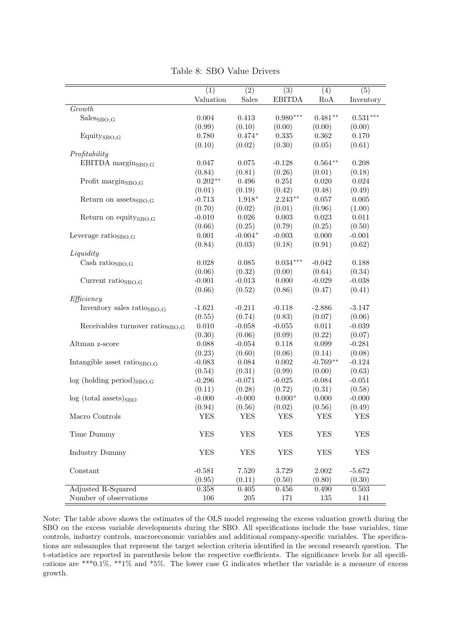<span id="page-35-0"></span>

|                                             | (1)        | $\overline{(2)}$ | $\overline{(3)}$ | (4)        | $\overline{(5)}$ |
|---------------------------------------------|------------|------------------|------------------|------------|------------------|
|                                             | Valuation  | Sales            | <b>EBITDA</b>    | RoA        | Inventory        |
| Growth                                      |            |                  |                  |            |                  |
| Sales <sub>SBO,G</sub>                      | 0.004      | 0.413            | $0.980***$       | $0.481**$  | $0.531***$       |
|                                             | (0.99)     | (0.10)           | (0.00)           | (0.00)     | (0.00)           |
| Equity <sub>SBO,G</sub>                     | 0.780      | $0.474*$         | 0.335            | 0.362      | 0.170            |
|                                             | (0.10)     | (0.02)           | (0.30)           | (0.05)     | (0.61)           |
| Profitability                               |            |                  |                  |            |                  |
| EBITDA margin $_{\rm SBO,G}$                | 0.047      | 0.075            | $-0.128$         | $0.564**$  | 0.208            |
|                                             | (0.84)     | (0.81)           | (0.26)           | (0.01)     | (0.18)           |
| Profit $\rm{margin}_{SBO,G}$                | $0.202**$  | 0.496            | 0.251            | 0.020      | 0.024            |
|                                             | (0.01)     | (0.19)           | (0.42)           | (0.48)     | (0.49)           |
|                                             | $-0.713$   | $1.918*$         | $2.243**$        | 0.057      | 0.005            |
| Return on assets <sub>SBO.G</sub>           |            |                  |                  |            |                  |
|                                             | (0.70)     | (0.02)           | (0.01)           | (0.96)     | (1.00)           |
| Return on equity <sub>SBO.G</sub>           | $-0.010$   | 0.026            | 0.003            | 0.023      | 0.011            |
|                                             | (0.66)     | (0.25)           | (0.79)           | (0.25)     | (0.50)           |
| Leverage ratios <sub>BO.G</sub>             | 0.001      | $-0.004*$        | $-0.003$         | 0.000      | $-0.001$         |
|                                             | (0.84)     | (0.03)           | (0.18)           | (0.91)     | (0.62)           |
| Liquidity                                   |            |                  |                  |            |                  |
| Cash ratios <sub>BO,G</sub>                 | 0.028      | 0.085            | $0.034***$       | $-0.042$   | 0.188            |
|                                             | (0.06)     | (0.32)           | (0.00)           | (0.64)     | (0.34)           |
| Current ratio $_{\text{SBO,G}}$             | $-0.001$   | $-0.013$         | 0.000            | $-0.029$   | $-0.038$         |
|                                             | (0.66)     | (0.52)           | (0.86)           | (0.47)     | (0.41)           |
| Efficiency                                  |            |                  |                  |            |                  |
| Inventory sales ratios <sub>BO.G</sub>      | $-1.621$   | $-0.211$         | $-0.118$         | $-2.886$   | $-3.147$         |
|                                             | (0.55)     | (0.74)           | (0.83)           | (0.07)     | (0.06)           |
| Receivables turnover ratio <sub>SBO.G</sub> | 0.010      | $-0.058$         | $-0.055$         | 0.011      | $-0.039$         |
|                                             | (0.30)     | (0.06)           | (0.09)           | (0.22)     | (0.07)           |
| Altman z-score                              | 0.088      | $-0.054$         | 0.118            | 0.099      | $-0.281$         |
|                                             | (0.23)     | (0.60)           | (0.06)           | (0.14)     | (0.08)           |
| Intangible asset ratio <sub>SBO.G</sub>     | $-0.083$   | 0.084            | 0.002            | $-0.769**$ | $-0.124$         |
|                                             | (0.54)     | (0.31)           | (0.99)           | (0.00)     | (0.63)           |
| $log$ (holding period) $_{SBO,G}$           | $-0.296$   | $-0.071$         | $-0.025$         | $-0.084$   | $-0.051$         |
|                                             | (0.11)     | (0.28)           | (0.72)           | (0.31)     | (0.58)           |
| $log (total assets)_{SBO}$                  | $-0.000$   | $-0.000$         | $0.000*$         | 0.000      | $-0.000$         |
|                                             | (0.94)     | (0.56)           | (0.02)           | (0.56)     | (0.49)           |
| Macro Controls                              | <b>YES</b> | <b>YES</b>       | <b>YES</b>       | <b>YES</b> | <b>YES</b>       |
|                                             |            |                  |                  |            |                  |
| Time Dummy                                  | <b>YES</b> | <b>YES</b>       | <b>YES</b>       | <b>YES</b> | <b>YES</b>       |
|                                             |            |                  |                  |            |                  |
| Industry Dummy                              | <b>YES</b> | ${\rm YES}$      | <b>YES</b>       | <b>YES</b> | <b>YES</b>       |
|                                             |            |                  |                  |            |                  |
| Constant                                    | $-0.581$   | 7.520            | 3.729            | $2.002\,$  | $-5.672$         |
|                                             | (0.95)     | (0.11)           | (0.50)           | (0.80)     | (0.30)           |
| Adjusted R-Squared                          | 0.358      | 0.405            | $0.456\,$        | 0.490      | 0.503            |
| Number of observations                      | 106        | $205\,$          | 171              | 135        | 141              |
|                                             |            |                  |                  |            |                  |

Table 8: SBO Value Drivers

Note: The table above shows the estimates of the OLS model regressing the excess valuation growth during the SBO on the excess variable developments during the SBO. All specifications include the base variables, time controls, industry controls, macroeconomic variables and additional company-specific variables. The specifications are subsamples that represent the target selection criteria identified in the second research question. The t-statistics are reported in parenthesis below the respective coefficients. The significance levels for all specifications are \*\*\*0.1%, \*\*1% and \*5%. The lower case G indicates whether the variable is a measure of excess growth.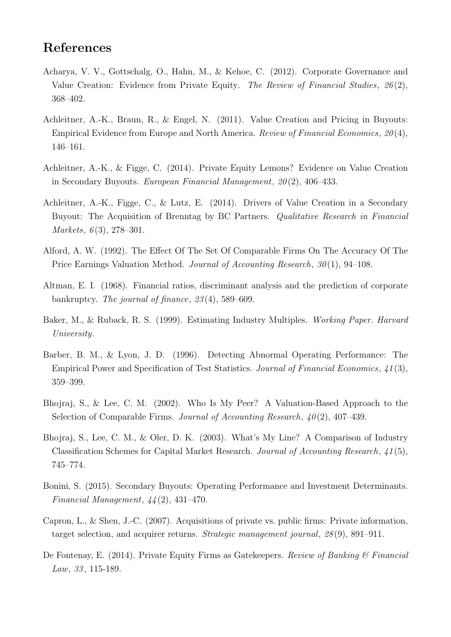## References

- <span id="page-36-10"></span>Acharya, V. V., Gottschalg, O., Hahn, M., & Kehoe, C. (2012). Corporate Governance and Value Creation: Evidence from Private Equity. The Review of Financial Studies, 26 (2), 368–402.
- <span id="page-36-2"></span>Achleitner, A.-K., Braun, R., & Engel, N. (2011). Value Creation and Pricing in Buyouts: Empirical Evidence from Europe and North America. Review of Financial Economics, 20 (4), 146–161.
- <span id="page-36-1"></span>Achleitner, A.-K., & Figge, C. (2014). Private Equity Lemons? Evidence on Value Creation in Secondary Buyouts. *European Financial Management*,  $20(2)$ , 406–433.
- <span id="page-36-12"></span>Achleitner, A.-K., Figge, C., & Lutz, E. (2014). Drivers of Value Creation in a Secondary Buyout: The Acquisition of Brenntag by BC Partners. Qualitative Research in Financial *Markets,*  $6(3)$ ,  $278-301$ .
- <span id="page-36-5"></span>Alford, A. W. (1992). The Effect Of The Set Of Comparable Firms On The Accuracy Of The Price Earnings Valuation Method. Journal of Accounting Research, 30 (1), 94–108.
- <span id="page-36-8"></span>Altman, E. I. (1968). Financial ratios, discriminant analysis and the prediction of corporate bankruptcy. The journal of finance, 23 (4), 589–609.
- <span id="page-36-7"></span>Baker, M., & Ruback, R. S. (1999). Estimating Industry Multiples. Working Paper. Harvard University.
- <span id="page-36-3"></span>Barber, B. M., & Lyon, J. D. (1996). Detecting Abnormal Operating Performance: The Empirical Power and Specification of Test Statistics. Journal of Financial Economics, 41 (3), 359–399.
- <span id="page-36-4"></span>Bhojraj, S., & Lee, C. M. (2002). Who Is My Peer? A Valuation-Based Approach to the Selection of Comparable Firms. Journal of Accounting Research,  $40(2)$ , 407-439.
- <span id="page-36-6"></span>Bhojraj, S., Lee, C. M., & Oler, D. K. (2003). What's My Line? A Comparison of Industry Classification Schemes for Capital Market Research. Journal of Accounting Research, 41 (5), 745–774.
- <span id="page-36-0"></span>Bonini, S. (2015). Secondary Buyouts: Operating Performance and Investment Determinants. Financial Management,  $44(2)$ , 431-470.
- <span id="page-36-11"></span>Capron, L., & Shen, J.-C. (2007). Acquisitions of private vs. public firms: Private information, target selection, and acquirer returns. Strategic management journal, 28 (9), 891–911.
- <span id="page-36-9"></span>De Fontenay, E. (2014). Private Equity Firms as Gatekeepers. Review of Banking & Financial Law,  $33, 115-189$ .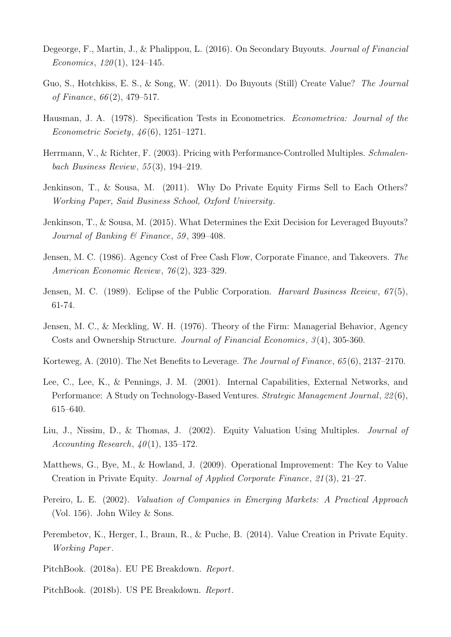- <span id="page-37-2"></span>Degeorge, F., Martin, J., & Phalippou, L. (2016). On Secondary Buyouts. Journal of Financial Economics,  $120(1)$ ,  $124-145$ .
- <span id="page-37-4"></span>Guo, S., Hotchkiss, E. S., & Song, W. (2011). Do Buyouts (Still) Create Value? The Journal of Finance,  $66(2)$ , 479–517.
- <span id="page-37-13"></span>Hausman, J. A. (1978). Specification Tests in Econometrics. Econometrica: Journal of the Econometric Society,  $46(6)$ , 1251–1271.
- <span id="page-37-6"></span>Herrmann, V., & Richter, F. (2003). Pricing with Performance-Controlled Multiples. Schmalenbach Business Review, 55 (3), 194–219.
- <span id="page-37-14"></span>Jenkinson, T., & Sousa, M. (2011). Why Do Private Equity Firms Sell to Each Others? Working Paper, Said Business School, Oxford University.
- <span id="page-37-0"></span>Jenkinson, T., & Sousa, M. (2015). What Determines the Exit Decision for Leveraged Buyouts? Journal of Banking & Finance, 59, 399-408.
- <span id="page-37-8"></span>Jensen, M. C. (1986). Agency Cost of Free Cash Flow, Corporate Finance, and Takeovers. The American Economic Review, 76 (2), 323–329.
- <span id="page-37-1"></span>Jensen, M. C. (1989). Eclipse of the Public Corporation. Harvard Business Review, 67(5), 61-74.
- <span id="page-37-7"></span>Jensen, M. C., & Meckling, W. H. (1976). Theory of the Firm: Managerial Behavior, Agency Costs and Ownership Structure. Journal of Financial Economics, 3 (4), 305-360.
- <span id="page-37-9"></span>Korteweg, A. (2010). The Net Benefits to Leverage. The Journal of Finance, 65 (6), 2137–2170.
- <span id="page-37-11"></span>Lee, C., Lee, K., & Pennings, J. M. (2001). Internal Capabilities, External Networks, and Performance: A Study on Technology-Based Ventures. Strategic Management Journal, 22 (6), 615–640.
- <span id="page-37-3"></span>Liu, J., Nissim, D., & Thomas, J. (2002). Equity Valuation Using Multiples. Journal of Accounting Research,  $40(1)$ , 135–172.
- <span id="page-37-10"></span>Matthews, G., Bye, M., & Howland, J. (2009). Operational Improvement: The Key to Value Creation in Private Equity. Journal of Applied Corporate Finance, 21 (3), 21–27.
- <span id="page-37-5"></span>Pereiro, L. E. (2002). Valuation of Companies in Emerging Markets: A Practical Approach (Vol. 156). John Wiley & Sons.
- <span id="page-37-12"></span>Perembetov, K., Herger, I., Braun, R., & Puche, B. (2014). Value Creation in Private Equity. Working Paper .
- <span id="page-37-15"></span>PitchBook. (2018a). EU PE Breakdown. Report.
- <span id="page-37-16"></span>PitchBook. (2018b). US PE Breakdown. Report.